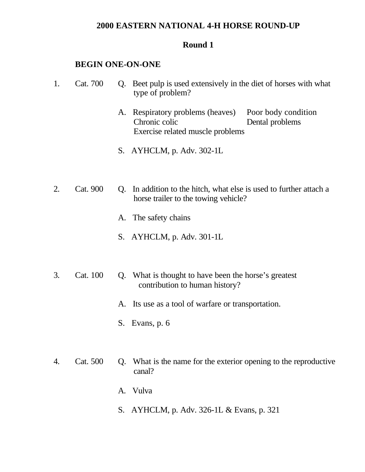### **2000 EASTERN NATIONAL 4-H HORSE ROUND-UP**

#### **Round 1**

#### **BEGIN ONE-ON-ONE**

- 1. Cat. 700 Q. Beet pulp is used extensively in the diet of horses with what type of problem?
	- A. Respiratory problems (heaves) Poor body condition Chronic colic Dental problems Exercise related muscle problems
	- S. AYHCLM, p. Adv. 302-1L
- 2. Cat. 900 Q. In addition to the hitch, what else is used to further attach a horse trailer to the towing vehicle?
	- A. The safety chains
	- S. AYHCLM, p. Adv. 301-1L
- 3. Cat. 100 Q. What is thought to have been the horse's greatest contribution to human history?
	- A. Its use as a tool of warfare or transportation.
	- S. Evans, p. 6
- 4. Cat. 500 Q. What is the name for the exterior opening to the reproductive canal?
	- A. Vulva
	- S. AYHCLM, p. Adv. 326-1L & Evans, p. 321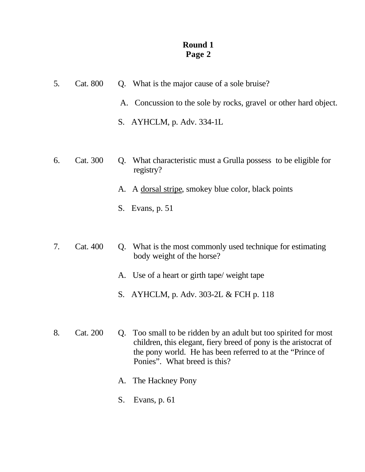- 5. Cat. 800 Q. What is the major cause of a sole bruise?
	- A. Concussion to the sole by rocks, gravel or other hard object.
	- S. AYHCLM, p. Adv. 334-1L
- 6. Cat. 300 Q. What characteristic must a Grulla possess to be eligible for registry?
	- A. A dorsal stripe, smokey blue color, black points
	- S. Evans, p. 51
- 7. Cat. 400 Q. What is the most commonly used technique for estimating body weight of the horse?
	- A. Use of a heart or girth tape/ weight tape
	- S. AYHCLM, p. Adv. 303-2L & FCH p. 118
- 8. Cat. 200 Q. Too small to be ridden by an adult but too spirited for most children, this elegant, fiery breed of pony is the aristocrat of the pony world. He has been referred to at the "Prince of Ponies". What breed is this?
	- A. The Hackney Pony
	- S. Evans, p. 61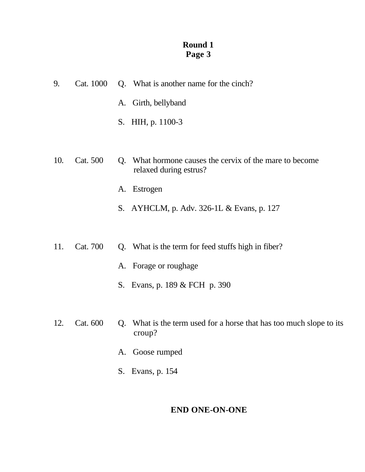| 9.  | Cat. 1000 |    | Q. What is another name for the cinch?                                            |
|-----|-----------|----|-----------------------------------------------------------------------------------|
|     |           |    | A. Girth, bellyband                                                               |
|     |           |    | S. HIH, p. 1100-3                                                                 |
|     |           |    |                                                                                   |
| 10. | Cat. 500  |    | Q. What hormone causes the cervix of the mare to become<br>relaxed during estrus? |
|     |           | A. | Estrogen                                                                          |

- S. AYHCLM, p. Adv. 326-1L & Evans, p. 127
- 11. Cat. 700 Q. What is the term for feed stuffs high in fiber?
	- A. Forage or roughage
	- S. Evans, p. 189 & FCH p. 390
- 12. Cat. 600 Q. What is the term used for a horse that has too much slope to its croup?
	- A. Goose rumped
	- S. Evans, p. 154

# **END ONE-ON-ONE**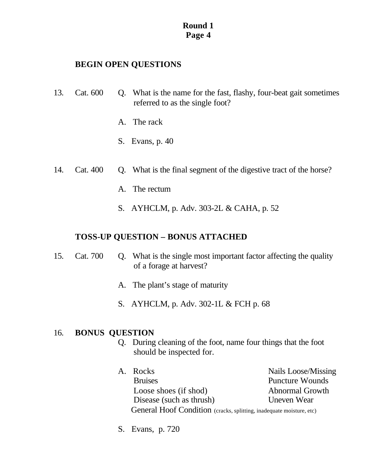# **BEGIN OPEN QUESTIONS**

- 13. Cat. 600 Q. What is the name for the fast, flashy, four-beat gait sometimes referred to as the single foot?
	- A. The rack
	- S. Evans, p. 40
- 14. Cat. 400 Q. What is the final segment of the digestive tract of the horse?
	- A. The rectum
	- S. AYHCLM, p. Adv. 303-2L & CAHA, p. 52

# **TOSS-UP QUESTION – BONUS ATTACHED**

- 15. Cat. 700 Q. What is the single most important factor affecting the quality of a forage at harvest?
	- A. The plant's stage of maturity
	- S. AYHCLM, p. Adv. 302-1L & FCH p. 68

# 16. **BONUS QUESTION**

- Q. During cleaning of the foot, name four things that the foot should be inspected for.
- A. Rocks Nails Loose/Missing Bruises Puncture Wounds Loose shoes (if shod) Abnormal Growth Disease (such as thrush) Uneven Wear General Hoof Condition (cracks, splitting, inadequate moisture, etc)
- S. Evans, p. 720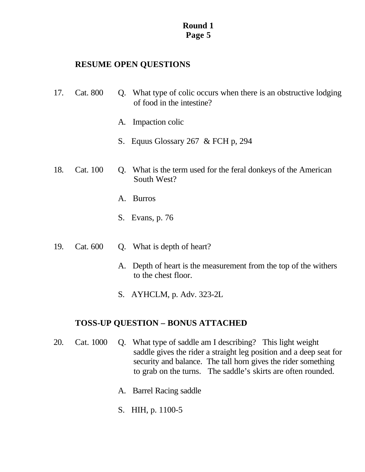# **RESUME OPEN QUESTIONS**

- 17. Cat. 800 Q. What type of colic occurs when there is an obstructive lodging of food in the intestine?
	- A. Impaction colic
	- S. Equus Glossary 267 & FCH p, 294
- 18. Cat. 100 Q. What is the term used for the feral donkeys of the American South West?
	- A. Burros
	- S. Evans, p. 76
- 19. Cat. 600 Q. What is depth of heart?
	- A. Depth of heart is the measurement from the top of the withers to the chest floor.
	- S. AYHCLM, p. Adv. 323-2L

# **TOSS-UP QUESTION – BONUS ATTACHED**

- 20. Cat. 1000 Q. What type of saddle am I describing? This light weight saddle gives the rider a straight leg position and a deep seat for security and balance. The tall horn gives the rider something to grab on the turns. The saddle's skirts are often rounded.
	- A. Barrel Racing saddle
	- S. HIH, p. 1100-5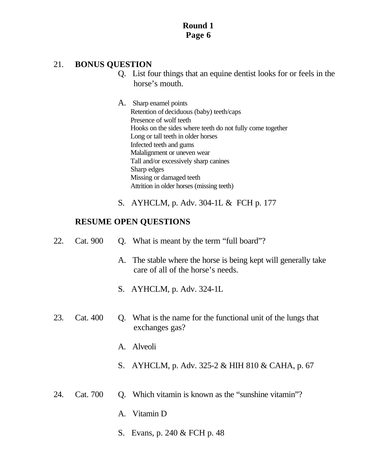# 21. **BONUS QUESTION**

- Q. List four things that an equine dentist looks for or feels in the horse's mouth.
- A. Sharp enamel points Retention of deciduous (baby) teeth/caps Presence of wolf teeth Hooks on the sides where teeth do not fully come together Long or tall teeth in older horses Infected teeth and gums Malalignment or uneven wear Tall and/or excessively sharp canines Sharp edges Missing or damaged teeth Attrition in older horses (missing teeth)
- S. AYHCLM, p. Adv. 304-1L & FCH p. 177

- 22. Cat. 900 Q. What is meant by the term "full board"?
	- A. The stable where the horse is being kept will generally take care of all of the horse's needs.
	- S. AYHCLM, p. Adv. 324-1L
- 23. Cat. 400 Q. What is the name for the functional unit of the lungs that exchanges gas?
	- A. Alveoli
	- S. AYHCLM, p. Adv. 325-2 & HIH 810 & CAHA, p. 67
- 24. Cat. 700 Q. Which vitamin is known as the "sunshine vitamin"?
	- A. Vitamin D
	- S. Evans, p. 240 & FCH p. 48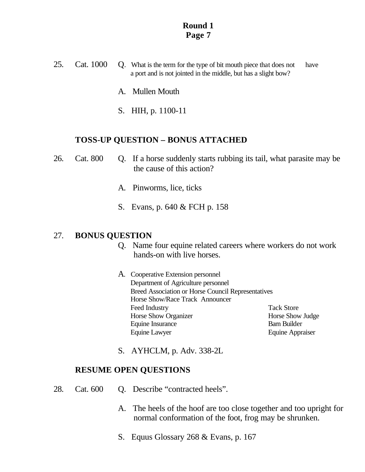- 25. Cat. 1000 Q. What is the term for the type of bit mouth piece that does not have a port and is not jointed in the middle, but has a slight bow?
	- A. Mullen Mouth
	- S. HIH, p. 1100-11

#### **TOSS-UP QUESTION – BONUS ATTACHED**

- 26. Cat. 800 Q. If a horse suddenly starts rubbing its tail, what parasite may be the cause of this action?
	- A. Pinworms, lice, ticks
	- S. Evans, p. 640 & FCH p. 158

#### 27. **BONUS QUESTION**

- Q. Name four equine related careers where workers do not work hands-on with live horses.
- A. Cooperative Extension personnel Department of Agriculture personnel Breed Association or Horse Council Representatives Horse Show/Race Track Announcer Feed Industry Tack Store Horse Show Organizer **Horse Show Judge** Equine Insurance Barn Builder Equine Lawyer Equine Appraiser

S. AYHCLM, p. Adv. 338-2L

- 28. Cat. 600 Q. Describe "contracted heels".
	- A. The heels of the hoof are too close together and too upright for normal conformation of the foot, frog may be shrunken.
	- S. Equus Glossary 268 & Evans, p. 167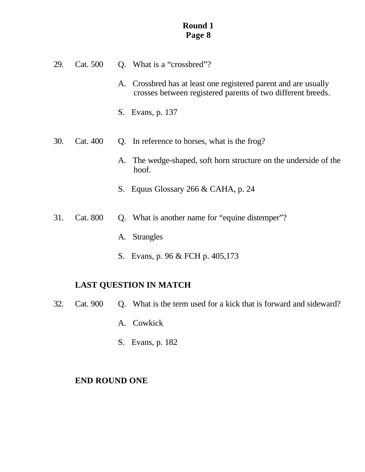- 29. Cat. 500 Q. What is a "crossbred"?
	- A. Crossbred has at least one registered parent and are usually crosses between registered parents of two different breeds.
	- S. Evans, p. 137
- 30. Cat. 400 Q. In reference to horses, what is the frog?
	- A. The wedge-shaped, soft horn structure on the underside of the hoof.
	- S. Equus Glossary 266 & CAHA, p. 24
- 31. Cat. 800 Q. What is another name for "equine distemper"?
	- A. Strangles
	- S. Evans, p. 96 & FCH p. 405,173

### **LAST QUESTION IN MATCH**

- 32. Cat. 900 Q. What is the term used for a kick that is forward and sideward?
	- A. Cowkick
	- S. Evans, p. 182

#### **END ROUND ONE**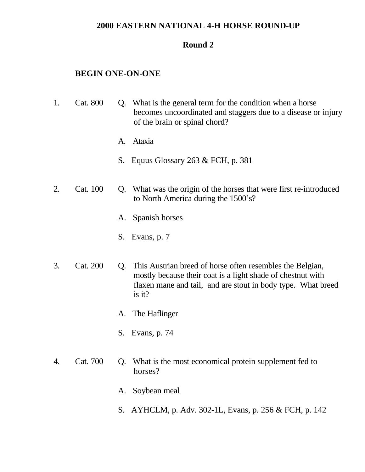### **2000 EASTERN NATIONAL 4-H HORSE ROUND-UP**

#### **Round 2**

#### **BEGIN ONE-ON-ONE**

- 1. Cat. 800 Q. What is the general term for the condition when a horse becomes uncoordinated and staggers due to a disease or injury of the brain or spinal chord?
	- A. Ataxia
	- S. Equus Glossary 263 & FCH, p. 381
- 2. Cat. 100 Q. What was the origin of the horses that were first re-introduced to North America during the 1500's?
	- A. Spanish horses
	- S. Evans, p. 7
- 3. Cat. 200 Q. This Austrian breed of horse often resembles the Belgian, mostly because their coat is a light shade of chestnut with flaxen mane and tail, and are stout in body type. What breed is it?
	- A. The Haflinger
	- S. Evans, p. 74
- 4. Cat. 700 Q. What is the most economical protein supplement fed to horses?
	- A. Soybean meal
	- S. AYHCLM, p. Adv. 302-1L, Evans, p. 256 & FCH, p. 142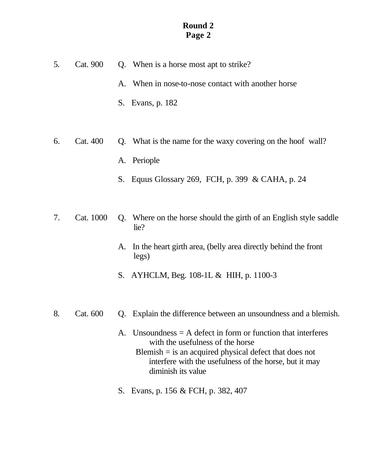- 5. Cat. 900 Q. When is a horse most apt to strike? A. When in nose-to-nose contact with another horse S. Evans, p. 182
- 6. Cat. 400 Q. What is the name for the waxy covering on the hoof wall? A. Periople
	- S. Equus Glossary 269, FCH, p. 399 & CAHA, p. 24
- 7. Cat. 1000 Q. Where on the horse should the girth of an English style saddle lie?
	- A. In the heart girth area, (belly area directly behind the front legs)
	- S. AYHCLM, Beg. 108-1L & HIH, p. 1100-3
- 8. Cat. 600 Q. Explain the difference between an unsoundness and a blemish.
	- A. Unsoundness  $=$  A defect in form or function that interferes with the usefulness of the horse  $B$ lemish  $=$  is an acquired physical defect that does not interfere with the usefulness of the horse, but it may diminish its value
	- S. Evans, p. 156 & FCH, p. 382, 407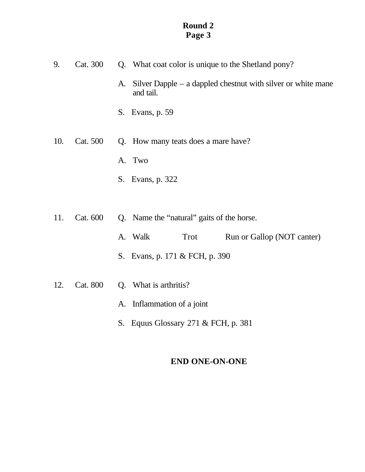| 9.  | Cat. 300 | Q. What coat color is unique to the Shetland pony?                                |  |
|-----|----------|-----------------------------------------------------------------------------------|--|
|     |          | Silver Dapple $-$ a dappled chestnut with silver or white mane<br>A.<br>and tail. |  |
|     |          | Evans, p. 59<br>S.                                                                |  |
| 10. | Cat. 500 | Q. How many teats does a mare have?                                               |  |
|     |          | A. Two                                                                            |  |
|     |          | S. Evans, p. 322                                                                  |  |
|     |          |                                                                                   |  |
| 11. | Cat. 600 | Q. Name the "natural" gaits of the horse.                                         |  |
|     |          | A. Walk<br>Trot<br>Run or Gallop (NOT canter)                                     |  |
|     |          | S. Evans, p. 171 & FCH, p. 390                                                    |  |
| 12. | Cat. 800 | Q. What is arthritis?                                                             |  |
|     |          | A. Inflammation of a joint                                                        |  |

S. Equus Glossary 271 & FCH, p. 381

# **END ONE-ON-ONE**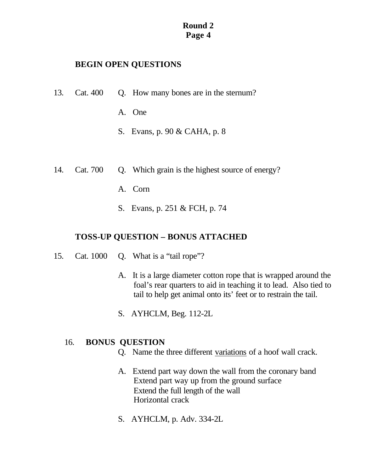# **BEGIN OPEN QUESTIONS**

- 13. Cat. 400 Q. How many bones are in the sternum?
	- A. One
	- S. Evans, p. 90 & CAHA, p. 8
- 14. Cat. 700 Q. Which grain is the highest source of energy?
	- A. Corn
	- S. Evans, p. 251 & FCH, p. 74

# **TOSS-UP QUESTION – BONUS ATTACHED**

- 15. Cat. 1000 Q. What is a "tail rope"?
	- A. It is a large diameter cotton rope that is wrapped around the foal's rear quarters to aid in teaching it to lead. Also tied to tail to help get animal onto its' feet or to restrain the tail.
	- S. AYHCLM, Beg. 112-2L

### 16. **BONUS QUESTION**

- Q. Name the three different variations of a hoof wall crack.
- A. Extend part way down the wall from the coronary band Extend part way up from the ground surface Extend the full length of the wall Horizontal crack
- S. AYHCLM, p. Adv. 334-2L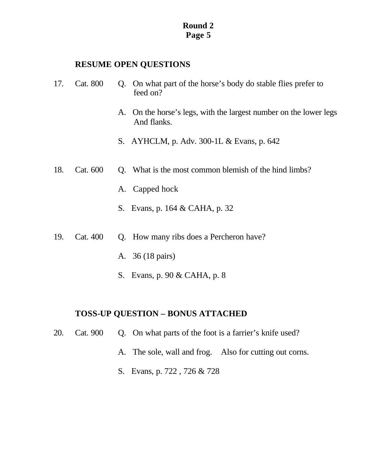### **RESUME OPEN QUESTIONS**

- 17. Cat. 800 Q. On what part of the horse's body do stable flies prefer to feed on?
	- A. On the horse's legs, with the largest number on the lower legs And flanks.
	- S. AYHCLM, p. Adv. 300-1L & Evans, p. 642
- 18. Cat. 600 Q. What is the most common blemish of the hind limbs?
	- A. Capped hock
	- S. Evans, p. 164 & CAHA, p. 32
- 19. Cat. 400 Q. How many ribs does a Percheron have?
	- A. 36 (18 pairs)
	- S. Evans, p. 90 & CAHA, p. 8

### **TOSS-UP QUESTION – BONUS ATTACHED**

- 20. Cat. 900 Q. On what parts of the foot is a farrier's knife used?
	- A. The sole, wall and frog. Also for cutting out corns.
	- S. Evans, p. 722 , 726 & 728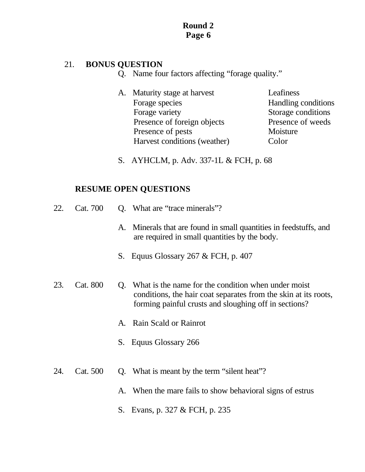# 21. **BONUS QUESTION**

- Q. Name four factors affecting "forage quality."
- A. Maturity stage at harvest Leafiness Forage species Handling conditions Forage variety Storage conditions Presence of foreign objects Presence of weeds Presence of pests Moisture Harvest conditions (weather) Color
- S. AYHCLM, p. Adv. 337-1L & FCH, p. 68

- 22. Cat. 700 Q. What are "trace minerals"? A. Minerals that are found in small quantities in feedstuffs, and are required in small quantities by the body. S. Equus Glossary 267 & FCH, p. 407 23. Cat. 800 Q. What is the name for the condition when under moist conditions, the hair coat separates from the skin at its roots, forming painful crusts and sloughing off in sections? A. Rain Scald or Rainrot S. Equus Glossary 266
- 24. Cat. 500 Q. What is meant by the term "silent heat"?
	- A. When the mare fails to show behavioral signs of estrus
	- S. Evans, p. 327 & FCH, p. 235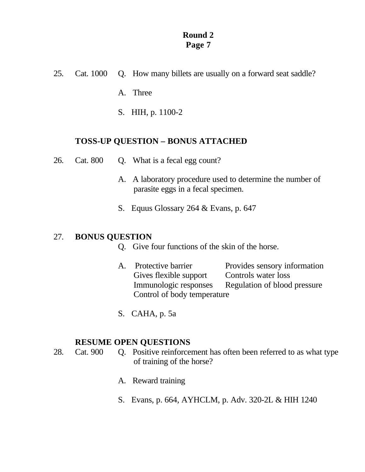25. Cat. 1000 Q. How many billets are usually on a forward seat saddle?

A. Three

S. HIH, p. 1100-2

# **TOSS-UP QUESTION – BONUS ATTACHED**

- 26. Cat. 800 Q. What is a fecal egg count?
	- A. A laboratory procedure used to determine the number of parasite eggs in a fecal specimen.
	- S. Equus Glossary 264 & Evans, p. 647

# 27. **BONUS QUESTION**

- Q. Give four functions of the skin of the horse.
- A. Protective barrier Provides sensory information Gives flexible support Controls water loss Immunologic responses Regulation of blood pressure Control of body temperature
- S. CAHA, p. 5a

- 28. Cat. 900 Q. Positive reinforcement has often been referred to as what type of training of the horse?
	- A. Reward training
	- S. Evans, p. 664, AYHCLM, p. Adv. 320-2L & HIH 1240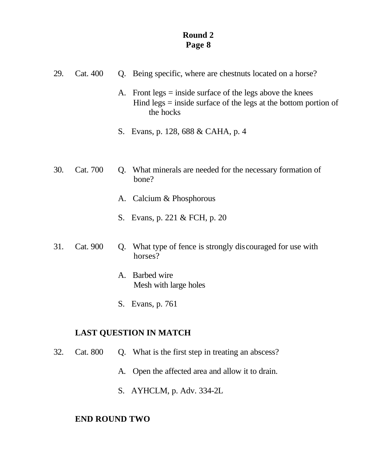| 29. | Cat. 400 |    | Q. Being specific, where are chestnuts located on a horse?                                                                                  |  |
|-----|----------|----|---------------------------------------------------------------------------------------------------------------------------------------------|--|
|     |          | A. | Front legs $=$ inside surface of the legs above the knees<br>Hind legs $=$ inside surface of the legs at the bottom portion of<br>the hocks |  |
|     |          |    | S. Evans, p. 128, 688 & CAHA, p. 4                                                                                                          |  |
|     |          |    |                                                                                                                                             |  |
| 30. | Cat. 700 |    | Q. What minerals are needed for the necessary formation of<br>bone?                                                                         |  |
|     |          | A. | Calcium & Phosphorous                                                                                                                       |  |
|     |          |    | S. Evans, p. 221 & FCH, p. 20                                                                                                               |  |
| 31. | Cat. 900 |    | Q. What type of fence is strongly discouraged for use with<br>horses?                                                                       |  |

- A. Barbed wire Mesh with large holes
- S. Evans, p. 761

# **LAST QUESTION IN MATCH**

- 32. Cat. 800 Q. What is the first step in treating an abscess?
	- A. Open the affected area and allow it to drain.
	- S. AYHCLM, p. Adv. 334-2L

# **END ROUND TWO**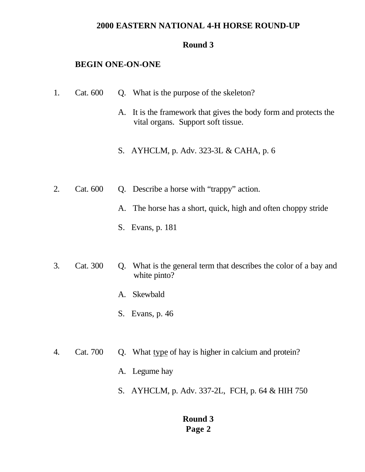### **2000 EASTERN NATIONAL 4-H HORSE ROUND-UP**

### **Round 3**

### **BEGIN ONE-ON-ONE**

- 1. Cat. 600 Q. What is the purpose of the skeleton?
	- A. It is the framework that gives the body form and protects the vital organs. Support soft tissue.
	- S. AYHCLM, p. Adv. 323-3L & CAHA, p. 6
- 2. Cat. 600 Q. Describe a horse with "trappy" action.
	- A. The horse has a short, quick, high and often choppy stride
	- S. Evans, p. 181
- 3. Cat. 300 Q. What is the general term that describes the color of a bay and white pinto?
	- A. Skewbald
	- S. Evans, p. 46
- 4. Cat. 700 Q. What type of hay is higher in calcium and protein?
	- A. Legume hay
	- S. AYHCLM, p. Adv. 337-2L, FCH, p. 64 & HIH 750

# **Round 3 Page 2**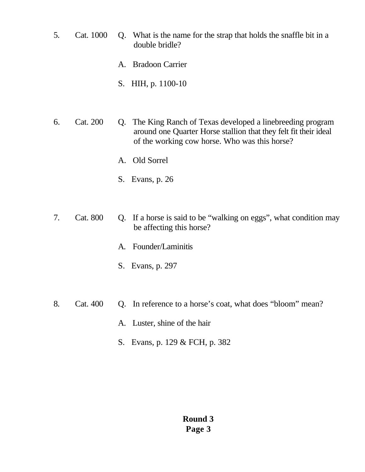- 5. Cat. 1000 Q. What is the name for the strap that holds the snaffle bit in a double bridle?
	- A. Bradoon Carrier
	- S. HIH, p. 1100-10
- 6. Cat. 200 Q. The King Ranch of Texas developed a linebreeding program around one Quarter Horse stallion that they felt fit their ideal of the working cow horse. Who was this horse?
	- A. Old Sorrel
	- S. Evans, p. 26
- 7. Cat. 800 Q. If a horse is said to be "walking on eggs", what condition may be affecting this horse?
	- A. Founder/Laminitis
	- S. Evans, p. 297
- 8. Cat. 400 Q. In reference to a horse's coat, what does "bloom" mean?
	- A. Luster, shine of the hair
	- S. Evans, p. 129 & FCH, p. 382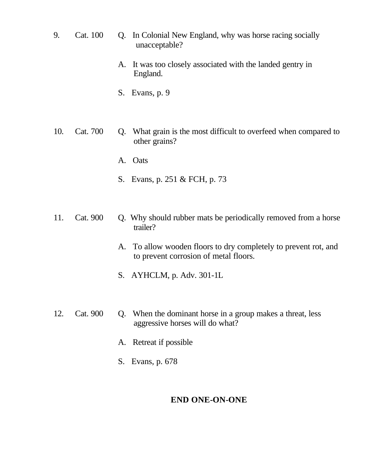- 9. Cat. 100 Q. In Colonial New England, why was horse racing socially unacceptable?
	- A. It was too closely associated with the landed gentry in England.
	- S. Evans, p. 9
- 10. Cat. 700 Q. What grain is the most difficult to overfeed when compared to other grains?
	- A. Oats
	- S. Evans, p. 251 & FCH, p. 73
- 11. Cat. 900 Q. Why should rubber mats be periodically removed from a horse trailer?
	- A. To allow wooden floors to dry completely to prevent rot, and to prevent corrosion of metal floors.
	- S. AYHCLM, p. Adv. 301-1L
- 12. Cat. 900 Q. When the dominant horse in a group makes a threat, less aggressive horses will do what?
	- A. Retreat if possible
	- S. Evans, p. 678

# **END ONE-ON-ONE**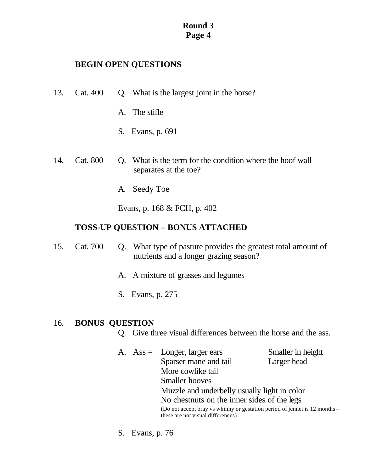# **BEGIN OPEN QUESTIONS**

- 13. Cat. 400 Q. What is the largest joint in the horse?
	- A. The stifle
	- S. Evans, p. 691
- 14. Cat. 800 Q. What is the term for the condition where the hoof wall separates at the toe?
	- A. Seedy Toe

Evans, p. 168 & FCH, p. 402

# **TOSS-UP QUESTION – BONUS ATTACHED**

- 15. Cat. 700 Q. What type of pasture provides the greatest total amount of nutrients and a longer grazing season?
	- A. A mixture of grasses and legumes
	- S. Evans, p. 275

# 16. **BONUS QUESTION**

- Q. Give three visual differences between the horse and the ass.
- A. Ass = Longer, larger ears Smaller in height Sparser mane and tail Larger head More cowlike tail Smaller hooves Muzzle and underbelly usually light in color No chestnuts on the inner sides of the legs (Do not accept bray vs whinny or gestation period of jennet is 12 months – these are not visual differences)
- S. Evans, p. 76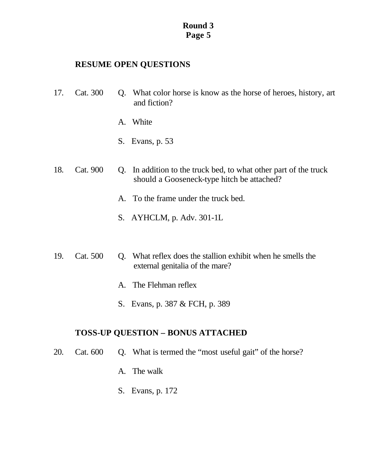# **RESUME OPEN QUESTIONS**

- 17. Cat. 300 Q. What color horse is know as the horse of heroes, history, art and fiction?
	- A. White
	- S. Evans, p. 53
- 18. Cat. 900 Q. In addition to the truck bed, to what other part of the truck should a Gooseneck-type hitch be attached?
	- A. To the frame under the truck bed.
	- S. AYHCLM, p. Adv. 301-1L
- 19. Cat. 500 Q. What reflex does the stallion exhibit when he smells the external genitalia of the mare?
	- A. The Flehman reflex
	- S. Evans, p. 387 & FCH, p. 389

# **TOSS-UP QUESTION – BONUS ATTACHED**

- 20. Cat. 600 Q. What is termed the "most useful gait" of the horse?
	- A. The walk
	- S. Evans, p. 172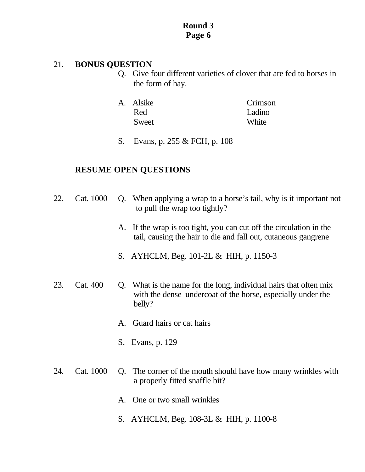### 21. **BONUS QUESTION**

- Q. Give four different varieties of clover that are fed to horses in the form of hay.
- A. Alsike Crimson Red Ladino Sweet White
	- S. Evans, p. 255 & FCH, p. 108

- 22. Cat. 1000 Q. When applying a wrap to a horse's tail, why is it important not to pull the wrap too tightly?
	- A. If the wrap is too tight, you can cut off the circulation in the tail, causing the hair to die and fall out, cutaneous gangrene
	- S. AYHCLM, Beg. 101-2L & HIH, p. 1150-3
- 23. Cat. 400 Q. What is the name for the long, individual hairs that often mix with the dense undercoat of the horse, especially under the belly?
	- A. Guard hairs or cat hairs
	- S. Evans, p. 129
- 24. Cat. 1000 Q. The corner of the mouth should have how many wrinkles with a properly fitted snaffle bit?
	- A. One or two small wrinkles
	- S. AYHCLM, Beg. 108-3L & HIH, p. 1100-8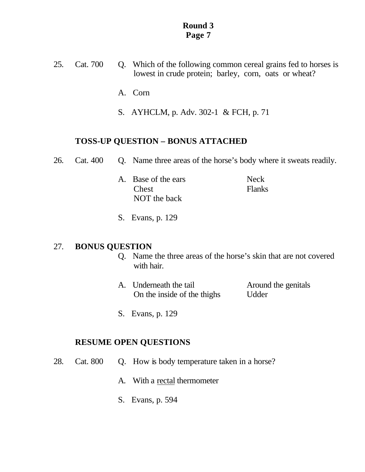- 25. Cat. 700 Q. Which of the following common cereal grains fed to horses is lowest in crude protein; barley, corn, oats or wheat?
	- A. Corn
	- S. AYHCLM, p. Adv. 302-1 & FCH, p. 71

### **TOSS-UP QUESTION – BONUS ATTACHED**

- 26. Cat. 400 Q. Name three areas of the horse's body where it sweats readily.
- A. Base of the ears Neck **Chest** Flanks NOT the back
	- S. Evans, p. 129

# 27. **BONUS QUESTION**

- Q. Name the three areas of the horse's skin that are not covered with hair.
- A. Underneath the tail **Around the genitals** On the inside of the thighs Udder
- S. Evans, p. 129

- 28. Cat. 800 Q. How is body temperature taken in a horse?
	- A. With a rectal thermometer
	- S. Evans, p. 594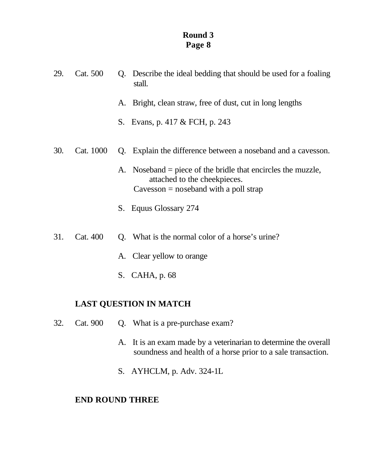| 29.<br>Cat. 500<br>stall. |           | Q. Describe the ideal bedding that should be used for a foaling |                                                                                                                                         |
|---------------------------|-----------|-----------------------------------------------------------------|-----------------------------------------------------------------------------------------------------------------------------------------|
|                           |           | A.                                                              | Bright, clean straw, free of dust, cut in long lengths                                                                                  |
|                           |           |                                                                 | S. Evans, p. 417 & FCH, p. 243                                                                                                          |
| 30.                       | Cat. 1000 |                                                                 | Q. Explain the difference between a noseband and a cavesson.                                                                            |
|                           |           |                                                                 | A. Noseband = piece of the bridle that encircles the muzzle,<br>attached to the cheekpieces.<br>$Cavesson = noseband with a poll strap$ |
|                           |           |                                                                 | S. Equus Glossary 274                                                                                                                   |
| 31.                       | Cat. 400  |                                                                 | Q. What is the normal color of a horse's urine?                                                                                         |

- A. Clear yellow to orange
- S. CAHA, p. 68

# **LAST QUESTION IN MATCH**

- 32. Cat. 900 Q. What is a pre-purchase exam?
	- A. It is an exam made by a veterinarian to determine the overall soundness and health of a horse prior to a sale transaction.
	- S. AYHCLM, p. Adv. 324-1L

# **END ROUND THREE**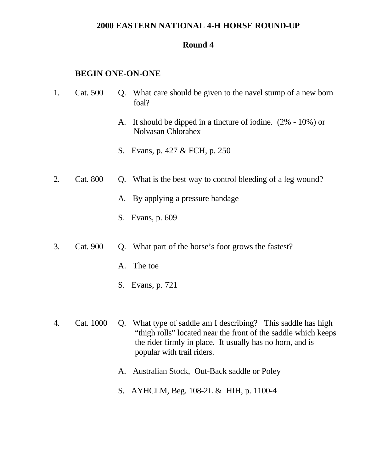### **2000 EASTERN NATIONAL 4-H HORSE ROUND-UP**

#### **Round 4**

#### **BEGIN ONE-ON-ONE**

- 1. Cat. 500 Q. What care should be given to the navel stump of a new born foal?
	- A. It should be dipped in a tincture of iodine. (2% 10%) or Nolvasan Chlorahex
	- S. Evans, p. 427 & FCH, p. 250
- 2. Cat. 800 Q. What is the best way to control bleeding of a leg wound?
	- A. By applying a pressure bandage
	- S. Evans, p. 609
- 3. Cat. 900 Q. What part of the horse's foot grows the fastest?
	- A. The toe
	- S. Evans, p. 721
- 4. Cat. 1000 Q. What type of saddle am I describing? This saddle has high "thigh rolls" located near the front of the saddle which keeps the rider firmly in place. It usually has no horn, and is popular with trail riders.
	- A. Australian Stock, Out-Back saddle or Poley
	- S. AYHCLM, Beg. 108-2L & HIH, p. 1100-4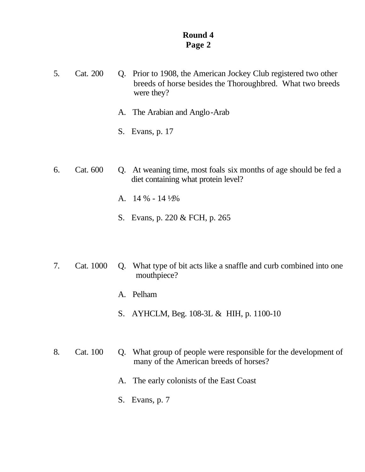- 5. Cat. 200 Q. Prior to 1908, the American Jockey Club registered two other breeds of horse besides the Thoroughbred. What two breeds were they?
	- A. The Arabian and Anglo-Arab
	- S. Evans, p. 17
- 6. Cat. 600 Q. At weaning time, most foals six months of age should be fed a diet containing what protein level?
	- A.  $14\% 14\frac{1}{2\%}$
	- S. Evans, p. 220 & FCH, p. 265
- 7. Cat. 1000 Q. What type of bit acts like a snaffle and curb combined into one mouthpiece?
	- A. Pelham
	- S. AYHCLM, Beg. 108-3L & HIH, p. 1100-10
- 8. Cat. 100 Q. What group of people were responsible for the development of many of the American breeds of horses?
	- A. The early colonists of the East Coast
	- S. Evans, p. 7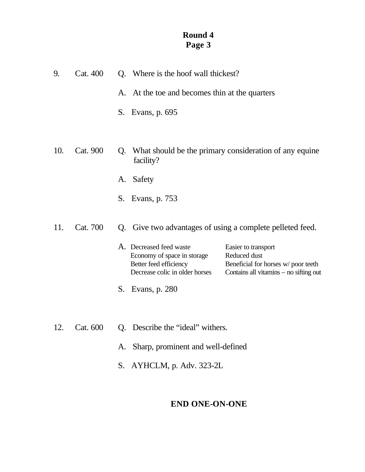| 9.  | Cat. 400 | Q. Where is the hoof wall thickest?                                                                                                                                                                                                       |
|-----|----------|-------------------------------------------------------------------------------------------------------------------------------------------------------------------------------------------------------------------------------------------|
|     |          | At the toe and becomes thin at the quarters<br>А.                                                                                                                                                                                         |
|     |          | S. Evans, p. 695                                                                                                                                                                                                                          |
| 10. | Cat. 900 | What should be the primary consideration of any equine<br>Q.<br>facility?                                                                                                                                                                 |
|     |          | Safety<br>А.                                                                                                                                                                                                                              |
|     |          | S. Evans, p. 753                                                                                                                                                                                                                          |
| 11. | Cat. 700 | Q. Give two advantages of using a complete pelleted feed.                                                                                                                                                                                 |
|     |          | A. Decreased feed waste<br>Easier to transport<br>Economy of space in storage<br>Reduced dust<br>Better feed efficiency<br>Beneficial for horses w/poor teeth<br>Decrease colic in older horses<br>Contains all vitamins – no sifting out |
|     |          | S.<br>Evans, p. 280                                                                                                                                                                                                                       |
| 12. | Cat. 600 | Q. Describe the "ideal" withers.                                                                                                                                                                                                          |
|     |          | Sharp, prominent and well-defined<br>A.                                                                                                                                                                                                   |
|     |          | AYHCLM, p. Adv. 323-2L<br>S.                                                                                                                                                                                                              |

# **END ONE-ON-ONE**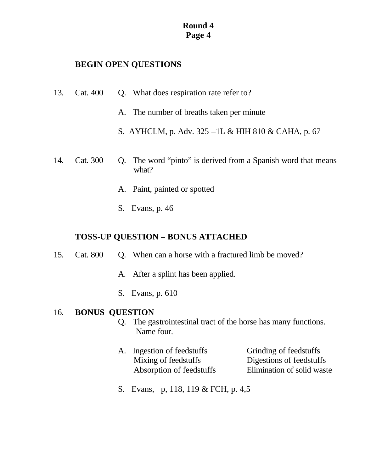# **BEGIN OPEN QUESTIONS**

- 13. Cat. 400 Q. What does respiration rate refer to?
	- A. The number of breaths taken per minute
	- S. AYHCLM, p. Adv. 325 –1L & HIH 810 & CAHA, p. 67
- 14. Cat. 300 Q. The word "pinto" is derived from a Spanish word that means what?
	- A. Paint, painted or spotted
	- S. Evans, p. 46

# **TOSS-UP QUESTION – BONUS ATTACHED**

- 15. Cat. 800 Q. When can a horse with a fractured limb be moved?
	- A. After a splint has been applied.
	- S. Evans, p. 610

### 16. **BONUS QUESTION**

- Q. The gastrointestinal tract of the horse has many functions. Name four.
- A. Ingestion of feedstuffs Grinding of feedstuffs Mixing of feedstuffs Digestions of feedstuffs Absorption of feedstuffs Elimination of solid waste

S. Evans, p, 118, 119 & FCH, p. 4,5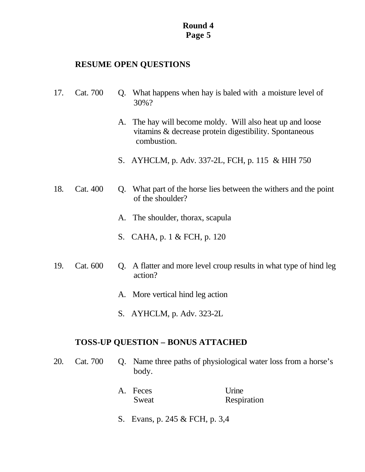# **RESUME OPEN QUESTIONS**

- 17. Cat. 700 Q. What happens when hay is baled with a moisture level of 30%?
	- A. The hay will become moldy. Will also heat up and loose vitamins & decrease protein digestibility. Spontaneous combustion.
	- S. AYHCLM, p. Adv. 337-2L, FCH, p. 115 & HIH 750
- 18. Cat. 400 Q. What part of the horse lies between the withers and the point of the shoulder?
	- A. The shoulder, thorax, scapula
	- S. CAHA, p. 1 & FCH, p. 120
- 19. Cat. 600 Q. A flatter and more level croup results in what type of hind leg action?
	- A. More vertical hind leg action
	- S. AYHCLM, p. Adv. 323-2L

# **TOSS-UP QUESTION – BONUS ATTACHED**

- 20. Cat. 700 Q. Name three paths of physiological water loss from a horse's body.
	- A. Feces Urine Sweat Respiration
	- S. Evans, p. 245 & FCH, p. 3,4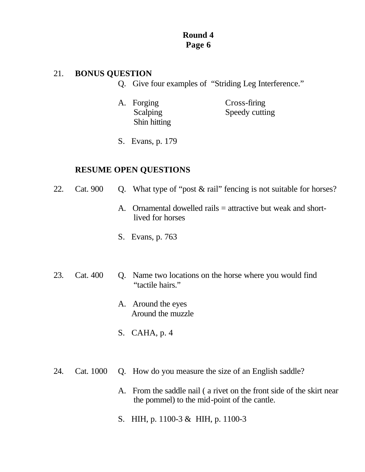# 21. **BONUS QUESTION**

- Q. Give four examples of "Striding Leg Interference."
- A. Forging Cross-firing Shin hitting

Scalping Speedy cutting

S. Evans, p. 179

- 22. Cat. 900 Q. What type of "post & rail" fencing is not suitable for horses?
	- A. Ornamental dowelled rails = attractive but weak and short lived for horses
	- S. Evans, p. 763
- 23. Cat. 400 Q. Name two locations on the horse where you would find "tactile hairs."
	- A. Around the eyes Around the muzzle
	- S. CAHA, p. 4
- 24. Cat. 1000 Q. How do you measure the size of an English saddle?
	- A. From the saddle nail ( a rivet on the front side of the skirt near the pommel) to the mid-point of the cantle.
	- S. HIH, p. 1100-3 & HIH, p. 1100-3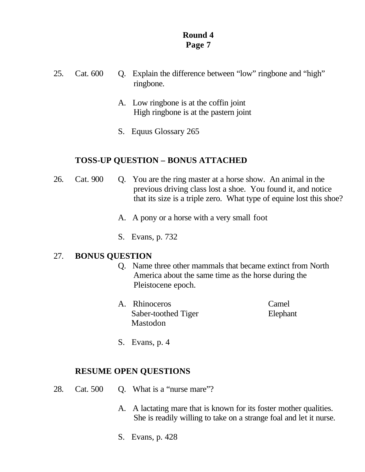- 25. Cat. 600 Q. Explain the difference between "low" ringbone and "high" ringbone.
	- A. Low ringbone is at the coffin joint High ringbone is at the pastern joint
	- S. Equus Glossary 265

# **TOSS-UP QUESTION – BONUS ATTACHED**

- 26. Cat. 900 Q. You are the ring master at a horse show. An animal in the previous driving class lost a shoe. You found it, and notice that its size is a triple zero. What type of equine lost this shoe?
	- A. A pony or a horse with a very small foot
	- S. Evans, p. 732

# 27. **BONUS QUESTION**

- Q. Name three other mammals that became extinct from North America about the same time as the horse during the Pleistocene epoch.
- A. Rhinoceros Camel Saber-toothed Tiger Elephant Mastodon

S. Evans, p. 4

- 28. Cat. 500 Q. What is a "nurse mare"?
	- A. A lactating mare that is known for its foster mother qualities. She is readily willing to take on a strange foal and let it nurse.
	- S. Evans, p. 428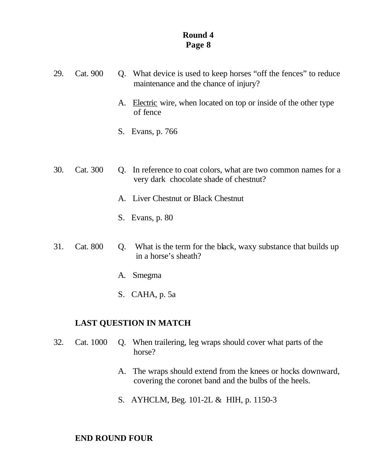- 29. Cat. 900 Q. What device is used to keep horses "off the fences" to reduce maintenance and the chance of injury?
	- A. Electric wire, when located on top or inside of the other type of fence
	- S. Evans, p. 766
- 30. Cat. 300 Q. In reference to coat colors, what are two common names for a very dark chocolate shade of chestnut?
	- A. Liver Chestnut or Black Chestnut
	- S. Evans, p. 80
- 31. Cat. 800 Q. What is the term for the black, waxy substance that builds up in a horse's sheath?
	- A. Smegma
	- S. CAHA, p. 5a

# **LAST QUESTION IN MATCH**

- 32. Cat. 1000 Q. When trailering, leg wraps should cover what parts of the horse?
	- A. The wraps should extend from the knees or hocks downward, covering the coronet band and the bulbs of the heels.
	- S. AYHCLM, Beg. 101-2L & HIH, p. 1150-3

# **END ROUND FOUR**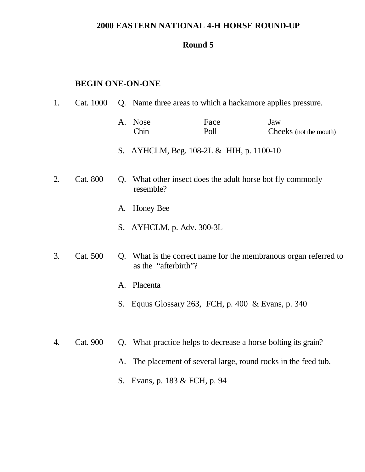# **2000 EASTERN NATIONAL 4-H HORSE ROUND-UP**

# **Round 5**

# **BEGIN ONE-ON-ONE**

| 1. | Cat. 1000 |             | Q. Name three areas to which a hackamore applies pressure.           |              |                                                                  |  |  |
|----|-----------|-------------|----------------------------------------------------------------------|--------------|------------------------------------------------------------------|--|--|
|    |           |             | A. Nose<br>Chin                                                      | Face<br>Poll | Jaw<br>Cheeks (not the mouth)                                    |  |  |
|    |           |             | S. AYHCLM, Beg. 108-2L & HIH, p. 1100-10                             |              |                                                                  |  |  |
| 2. | Cat. 800  | $Q_{\rm c}$ | What other insect does the adult horse bot fly commonly<br>resemble? |              |                                                                  |  |  |
|    |           |             | A. Honey Bee                                                         |              |                                                                  |  |  |
|    |           |             | S. AYHCLM, p. Adv. 300-3L                                            |              |                                                                  |  |  |
| 3. | Cat. 500  |             | as the "afterbirth"?                                                 |              | Q. What is the correct name for the membranous organ referred to |  |  |
|    |           | A.          | Placenta                                                             |              |                                                                  |  |  |
|    |           |             | S. Equus Glossary 263, FCH, p. 400 & Evans, p. 340                   |              |                                                                  |  |  |
|    |           |             |                                                                      |              |                                                                  |  |  |
| 4. | Cat. 900  | Q.          | What practice helps to decrease a horse bolting its grain?           |              |                                                                  |  |  |
|    |           |             | A. The placement of several large, round rocks in the feed tub.      |              |                                                                  |  |  |

S. Evans, p. 183 & FCH, p. 94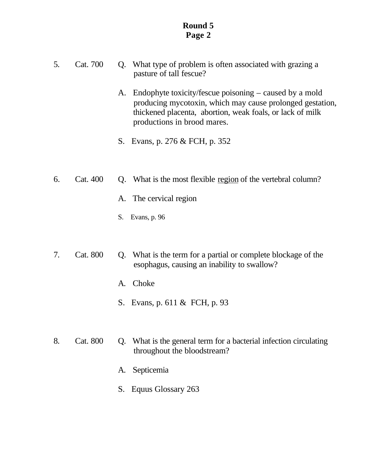- 5. Cat. 700 Q. What type of problem is often associated with grazing a pasture of tall fescue?
	- A. Endophyte toxicity/fescue poisoning caused by a mold producing mycotoxin, which may cause prolonged gestation, thickened placenta, abortion, weak foals, or lack of milk productions in brood mares.
	- S. Evans, p. 276 & FCH, p. 352
- 6. Cat. 400 Q. What is the most flexible region of the vertebral column?
	- A. The cervical region
	- S. Evans, p. 96
- 7. Cat. 800 Q. What is the term for a partial or complete blockage of the esophagus, causing an inability to swallow?
	- A. Choke
	- S. Evans, p. 611 & FCH, p. 93
- 8. Cat. 800 Q. What is the general term for a bacterial infection circulating throughout the bloodstream?
	- A. Septicemia
	- S. Equus Glossary 263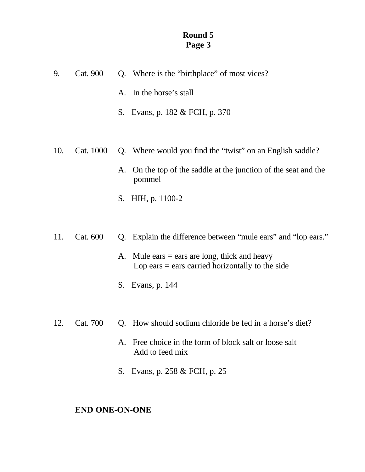| 9.  | Cat. 900  | Q. Where is the "birthplace" of most vices?                                                           |
|-----|-----------|-------------------------------------------------------------------------------------------------------|
|     |           | A. In the horse's stall                                                                               |
|     |           | S. Evans, p. 182 & FCH, p. 370                                                                        |
|     |           |                                                                                                       |
| 10. | Cat. 1000 | Q. Where would you find the "twist" on an English saddle?                                             |
|     |           | A. On the top of the saddle at the junction of the seat and the<br>pommel                             |
|     |           | HIH, p. 1100-2<br>S.                                                                                  |
|     |           |                                                                                                       |
| 11. | Cat. 600  | Explain the difference between "mule ears" and "lop ears."<br>Q.                                      |
|     |           | A. Mule ears $=$ ears are long, thick and heavy<br>Lop ears $=$ ears carried horizontally to the side |
|     |           | Evans, p. 144<br>S.                                                                                   |
|     |           |                                                                                                       |

- 12. Cat. 700 Q. How should sodium chloride be fed in a horse's diet?
	- A. Free choice in the form of block salt or loose salt Add to feed mix
	- S. Evans, p. 258 & FCH, p. 25

# **END ONE-ON-ONE**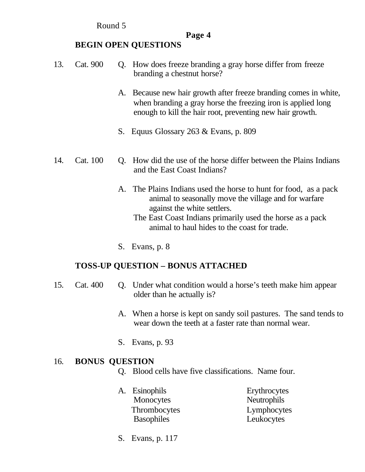Round 5

# **Page 4**

# **BEGIN OPEN QUESTIONS**

- 13. Cat. 900 Q. How does freeze branding a gray horse differ from freeze branding a chestnut horse?
	- A. Because new hair growth after freeze branding comes in white, when branding a gray horse the freezing iron is applied long enough to kill the hair root, preventing new hair growth.
	- S. Equus Glossary 263 & Evans, p. 809
- 14. Cat. 100 Q. How did the use of the horse differ between the Plains Indians and the East Coast Indians?
	- A. The Plains Indians used the horse to hunt for food, as a pack animal to seasonally move the village and for warfare against the white settlers.
		- The East Coast Indians primarily used the horse as a pack animal to haul hides to the coast for trade.
	- S. Evans, p. 8

# **TOSS-UP QUESTION – BONUS ATTACHED**

- 15. Cat. 400 Q. Under what condition would a horse's teeth make him appear older than he actually is?
	- A. When a horse is kept on sandy soil pastures. The sand tends to wear down the teeth at a faster rate than normal wear.
	- S. Evans, p. 93

# 16. **BONUS QUESTION**

- Q. Blood cells have five classifications. Name four.
- A. Esinophils Erythrocytes Monocytes Neutrophils Thrombocytes Lymphocytes Basophiles Leukocytes
- S. Evans, p. 117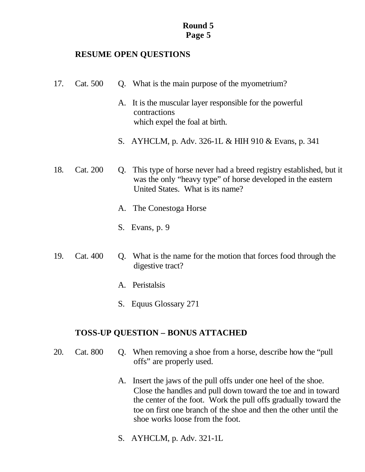### **RESUME OPEN QUESTIONS**

- 17. Cat. 500 Q. What is the main purpose of the myometrium?
	- A. It is the muscular layer responsible for the powerful contractions which expel the foal at birth.
	- S. AYHCLM, p. Adv. 326-1L & HIH 910 & Evans, p. 341
- 18. Cat. 200 Q. This type of horse never had a breed registry established, but it was the only "heavy type" of horse developed in the eastern United States. What is its name?
	- A. The Conestoga Horse
	- S. Evans, p. 9
- 19. Cat. 400 Q. What is the name for the motion that forces food through the digestive tract?
	- A. Peristalsis
	- S. Equus Glossary 271

#### **TOSS-UP QUESTION – BONUS ATTACHED**

- 20. Cat. 800 Q. When removing a shoe from a horse, describe how the "pull offs" are properly used.
	- A. Insert the jaws of the pull offs under one heel of the shoe. Close the handles and pull down toward the toe and in toward the center of the foot. Work the pull offs gradually toward the toe on first one branch of the shoe and then the other until the shoe works loose from the foot.
	- S. AYHCLM, p. Adv. 321-1L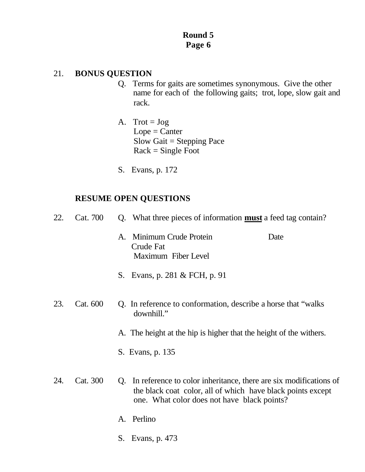### 21. **BONUS QUESTION**

- Q. Terms for gaits are sometimes synonymous. Give the other name for each of the following gaits; trot, lope, slow gait and rack.
- A. Trot =  $Jog$  $Lope =$ Canter Slow Gait = Stepping Pace  $Rack = Single Foot$
- S. Evans, p. 172

| 22. | Cat. 700 | Q. What three pieces of information <b>must</b> a feed tag contain?                                                                                                                |
|-----|----------|------------------------------------------------------------------------------------------------------------------------------------------------------------------------------------|
|     |          | Minimum Crude Protein<br>Date<br>A.<br>Crude Fat<br>Maximum Fiber Level                                                                                                            |
|     |          | S. Evans, p. 281 & FCH, p. 91                                                                                                                                                      |
| 23. | Cat. 600 | Q. In reference to conformation, describe a horse that "walks"<br>downhill."                                                                                                       |
|     |          | A. The height at the hip is higher that the height of the withers.                                                                                                                 |
|     |          | S. Evans, p. 135                                                                                                                                                                   |
| 24. | Cat. 300 | Q. In reference to color inheritance, there are six modifications of<br>the black coat color, all of which have black points except<br>one. What color does not have black points? |
|     |          | A. Perlino                                                                                                                                                                         |
|     |          | S. Evans, p. 473                                                                                                                                                                   |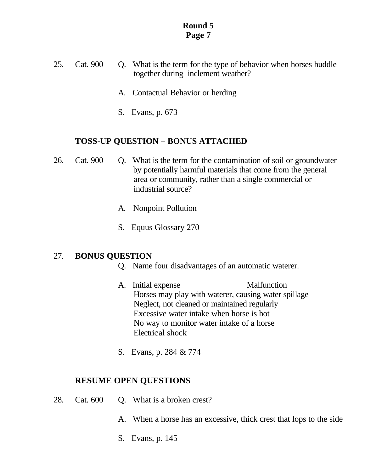- 25. Cat. 900 Q. What is the term for the type of behavior when horses huddle together during inclement weather?
	- A. Contactual Behavior or herding
	- S. Evans, p. 673

#### **TOSS-UP QUESTION – BONUS ATTACHED**

- 26. Cat. 900 Q. What is the term for the contamination of soil or groundwater by potentially harmful materials that come from the general area or community, rather than a single commercial or industrial source?
	- A. Nonpoint Pollution
	- S. Equus Glossary 270

#### 27. **BONUS QUESTION**

- Q. Name four disadvantages of an automatic waterer.
- A. Initial expense Malfunction Horses may play with waterer, causing water spillage Neglect, not cleaned or maintained regularly Excessive water intake when horse is hot No way to monitor water intake of a horse Electrical shock
- S. Evans, p. 284 & 774

- 28. Cat. 600 Q. What is a broken crest?
	- A. When a horse has an excessive, thick crest that lops to the side
	- S. Evans, p. 145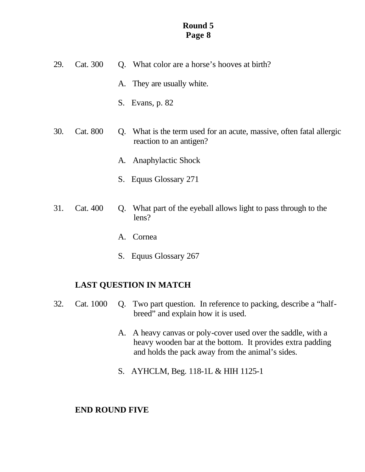| 29. | Cat. 300 | Q. What color are a horse's hooves at birth?                                                       |
|-----|----------|----------------------------------------------------------------------------------------------------|
|     |          | A. They are usually white.                                                                         |
|     |          | Evans, p. 82<br>S.                                                                                 |
| 30. | Cat. 800 | What is the term used for an acute, massive, often fatal allergic<br>Q.<br>reaction to an antigen? |
|     |          | A. Anaphylactic Shock                                                                              |
|     |          | Equus Glossary 271<br>S.                                                                           |
| 31. | Cat. 400 | What part of the eyeball allows light to pass through to the<br>Q.<br>lens?                        |
|     |          | Cornea<br>Α.                                                                                       |
|     |          |                                                                                                    |

S. Equus Glossary 267

## **LAST QUESTION IN MATCH**

- 32. Cat. 1000 Q. Two part question. In reference to packing, describe a "half breed" and explain how it is used.
	- A. A heavy canvas or poly-cover used over the saddle, with a heavy wooden bar at the bottom. It provides extra padding and holds the pack away from the animal's sides.
	- S. AYHCLM, Beg. 118-1L & HIH 1125-1

## **END ROUND FIVE**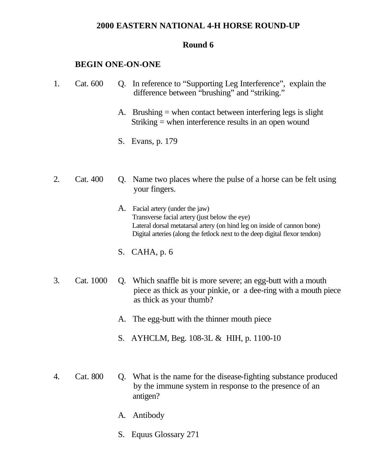#### **2000 EASTERN NATIONAL 4-H HORSE ROUND-UP**

#### **Round 6**

#### **BEGIN ONE-ON-ONE**

- 1. Cat. 600 Q. In reference to "Supporting Leg Interference", explain the difference between "brushing" and "striking."
	- A. Brushing = when contact between interfering legs is slight Striking = when interference results in an open wound
	- S. Evans, p. 179
- 2. Cat. 400 Q. Name two places where the pulse of a horse can be felt using your fingers.
	- A. Facial artery (under the jaw) Transverse facial artery (just below the eye) Lateral dorsal metatarsal artery (on hind leg on inside of cannon bone) Digital arteries (along the fetlock next to the deep digital flexor tendon)
	- S. CAHA, p. 6
- 3. Cat. 1000 Q. Which snaffle bit is more severe; an egg-butt with a mouth piece as thick as your pinkie, or a dee-ring with a mouth piece as thick as your thumb?
	- A. The egg-butt with the thinner mouth piece
	- S. AYHCLM, Beg. 108-3L & HIH, p. 1100-10
- 4. Cat. 800 Q. What is the name for the disease-fighting substance produced by the immune system in response to the presence of an antigen?
	- A. Antibody
	- S. Equus Glossary 271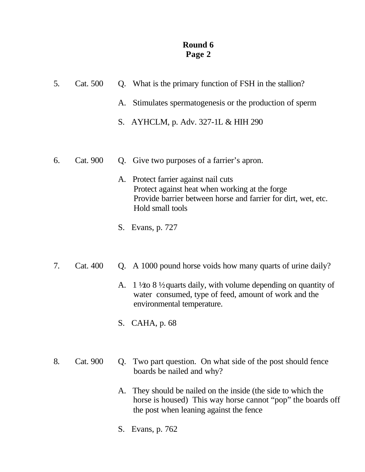| 5. | Cat. 500 |    | Q. What is the primary function of FSH in the stallion?                                                                                                                     |  |  |
|----|----------|----|-----------------------------------------------------------------------------------------------------------------------------------------------------------------------------|--|--|
|    |          | A. | Stimulates spermatogenesis or the production of sperm                                                                                                                       |  |  |
|    |          |    | S. AYHCLM, p. Adv. 327-1L & HIH 290                                                                                                                                         |  |  |
|    |          |    |                                                                                                                                                                             |  |  |
| 6. | Cat. 900 |    | Q. Give two purposes of a farrier's apron.                                                                                                                                  |  |  |
|    |          |    | A. Protect farrier against nail cuts<br>Protect against heat when working at the forge<br>Provide barrier between horse and farrier for dirt, wet, etc.<br>Hold small tools |  |  |

- S. Evans, p. 727
- 7. Cat. 400 Q. A 1000 pound horse voids how many quarts of urine daily?
	- A. 1  $\frac{1}{2}$  to 8  $\frac{1}{2}$  quarts daily, with volume depending on quantity of water consumed, type of feed, amount of work and the environmental temperature.
	- S. CAHA, p. 68
- 8. Cat. 900 Q. Two part question. On what side of the post should fence boards be nailed and why?
	- A. They should be nailed on the inside (the side to which the horse is housed) This way horse cannot "pop" the boards off the post when leaning against the fence
	- S. Evans, p. 762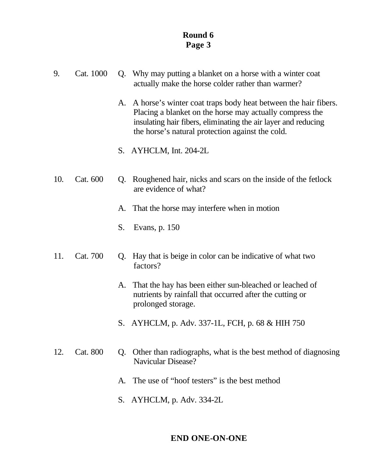| 9. | Cat. 1000 | Q. Why may putting a blanket on a horse with a winter coat<br>actually make the horse colder rather than warmer?                                                                                                                                    |
|----|-----------|-----------------------------------------------------------------------------------------------------------------------------------------------------------------------------------------------------------------------------------------------------|
|    |           | A. A horse's winter coat traps body heat between the hair fibers.<br>Placing a blanket on the horse may actually compress the<br>insulating hair fibers, eliminating the air layer and reducing<br>the horse's natural protection against the cold. |

- S. AYHCLM, Int. 204-2L
- 10. Cat. 600 Q. Roughened hair, nicks and scars on the inside of the fetlock are evidence of what?
	- A. That the horse may interfere when in motion
	- S. Evans, p. 150
- 11. Cat. 700 Q. Hay that is beige in color can be indicative of what two factors?
	- A. That the hay has been either sun-bleached or leached of nutrients by rainfall that occurred after the cutting or prolonged storage.
	- S. AYHCLM, p. Adv. 337-1L, FCH, p. 68 & HIH 750
- 12. Cat. 800 Q. Other than radiographs, what is the best method of diagnosing Navicular Disease?
	- A. The use of "hoof testers" is the best method
	- S. AYHCLM, p. Adv. 334-2L

### **END ONE-ON-ONE**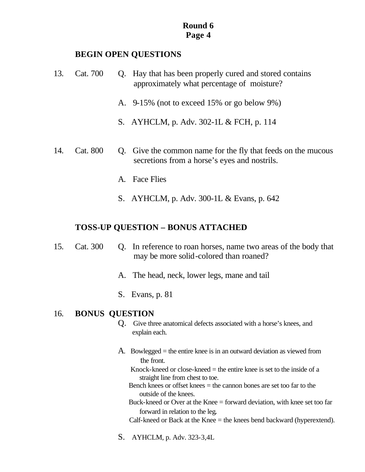#### **BEGIN OPEN QUESTIONS**

- 13. Cat. 700 Q. Hay that has been properly cured and stored contains approximately what percentage of moisture?
	- A. 9-15% (not to exceed 15% or go below 9%)
	- S. AYHCLM, p. Adv. 302-1L & FCH, p. 114
- 14. Cat. 800 Q. Give the common name for the fly that feeds on the mucous secretions from a horse's eyes and nostrils.
	- A. Face Flies
	- S. AYHCLM, p. Adv. 300-1L & Evans, p. 642

## **TOSS-UP QUESTION – BONUS ATTACHED**

- 15. Cat. 300 Q. In reference to roan horses, name two areas of the body that may be more solid-colored than roaned?
	- A. The head, neck, lower legs, mane and tail
	- S. Evans, p. 81

### 16. **BONUS QUESTION**

- Q. Give three anatomical defects associated with a horse's knees, and explain each.
- A. Bowlegged = the entire knee is in an outward deviation as viewed from the front.
	- Knock-kneed or close-kneed  $=$  the entire knee is set to the inside of a straight line from chest to toe.
	- Bench knees or offset knees  $=$  the cannon bones are set too far to the outside of the knees.
	- Buck-kneed or Over at the Knee = forward deviation, with knee set too far forward in relation to the leg.
	- Calf-kneed or Back at the Knee = the knees bend backward (hyperextend).
- S. AYHCLM, p. Adv. 323-3,4L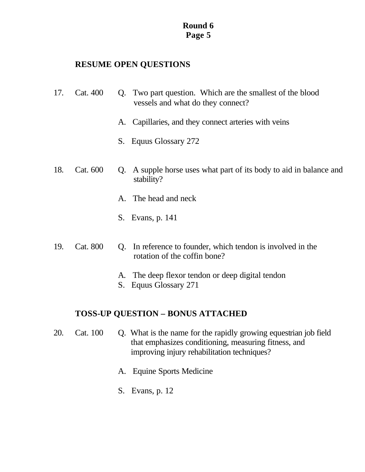### **RESUME OPEN QUESTIONS**

- 17. Cat. 400 Q. Two part question. Which are the smallest of the blood vessels and what do they connect?
	- A. Capillaries, and they connect arteries with veins
	- S. Equus Glossary 272
- 18. Cat. 600 Q. A supple horse uses what part of its body to aid in balance and stability?
	- A. The head and neck
	- S. Evans, p. 141
- 19. Cat. 800 Q. In reference to founder, which tendon is involved in the rotation of the coffin bone?
	- A. The deep flexor tendon or deep digital tendon
	- S. Equus Glossary 271

## **TOSS-UP QUESTION – BONUS ATTACHED**

- 20. Cat. 100 Q. What is the name for the rapidly growing equestrian job field that emphasizes conditioning, measuring fitness, and improving injury rehabilitation techniques?
	- A. Equine Sports Medicine
	- S. Evans, p. 12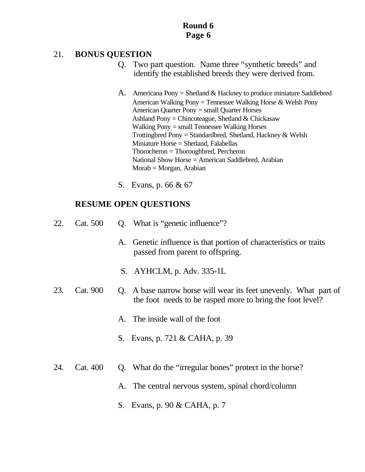## 21. **BONUS QUESTION**

- Q. Two part question. Name three "synthetic breeds" and identify the established breeds they were derived from.
- A. Americana Pony = Shetland  $&$  Hackney to produce miniature Saddlebred American Walking Pony = Tennessee Walking Horse & Welsh Pony American Quarter Pony = small Quarter Horses Ashland Pony = Chincoteague, Shetland & Chickasaw Walking Pony = small Tennessee Walking Horses Trottingbred Pony = Standardbred, Shetland, Hackney  $&$  Welsh Miniature Horse = Shetland, Falabellas Thorocheron = Thoroughbred, Percheron National Show Horse = American Saddlebred, Arabian Morab = Morgan, Arabian
- S. Evans, p. 66 & 67

- 22. Cat. 500 Q. What is "genetic influence"?
	- A. Genetic influence is that portion of characteristics or traits passed from parent to offspring.
	- S. AYHCLM, p. Adv. 335-1L
- 23. Cat. 900 Q. A base narrow horse will wear its feet unevenly. What part of the foot needs to be rasped more to bring the foot level?
	- A. The inside wall of the foot
	- S. Evans, p. 721 & CAHA, p. 39
- 24. Cat. 400 Q. What do the "irregular bones" protect in the horse?
	- A. The central nervous system, spinal chord/column
	- S. Evans, p. 90 & CAHA, p. 7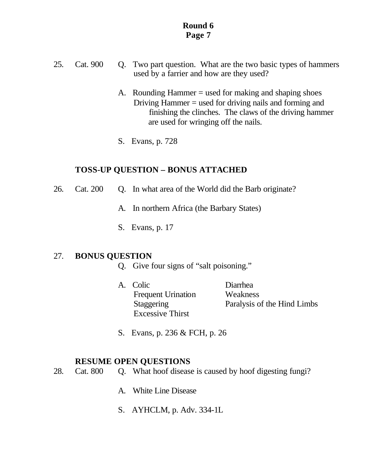- 25. Cat. 900 Q. Two part question. What are the two basic types of hammers used by a farrier and how are they used?
	- A. Rounding Hammer = used for making and shaping shoes Driving Hammer = used for driving nails and forming and finishing the clinches. The claws of the driving hammer are used for wringing off the nails.
	- S. Evans, p. 728

### **TOSS-UP QUESTION – BONUS ATTACHED**

- 26. Cat. 200 Q. In what area of the World did the Barb originate?
	- A. In northern Africa (the Barbary States)
	- S. Evans, p. 17

### 27. **BONUS QUESTION**

- Q. Give four signs of "salt poisoning."
- A. Colic Diarrhea Frequent Urination Weakness Staggering Paralysis of the Hind Limbs Excessive Thirst
- S. Evans, p. 236 & FCH, p. 26

- 28. Cat. 800 Q. What hoof disease is caused by hoof digesting fungi?
	- A. White Line Disease
	- S. AYHCLM, p. Adv. 334-1L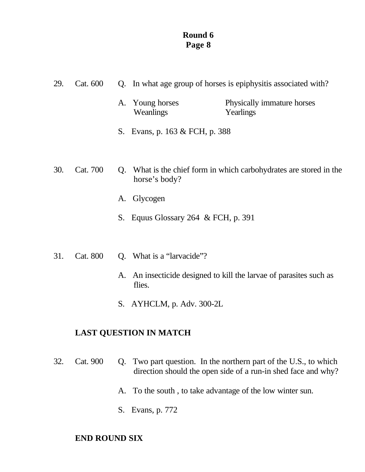| 29. | Cat. 600 |    | Q. In what age group of horses is epiphysitis associated with? |                                                                    |
|-----|----------|----|----------------------------------------------------------------|--------------------------------------------------------------------|
|     |          |    | A. Young horses<br>Weanlings                                   | Physically immature horses<br>Yearlings                            |
|     |          |    | S. Evans, p. 163 & FCH, p. 388                                 |                                                                    |
|     |          |    |                                                                |                                                                    |
| 30. | Cat. 700 |    | horse's body?                                                  | Q. What is the chief form in which carbohydrates are stored in the |
|     |          | A. | Glycogen                                                       |                                                                    |
|     |          | S. | Equus Glossary 264 & FCH, p. 391                               |                                                                    |
|     |          |    |                                                                |                                                                    |

- 31. Cat. 800 Q. What is a "larvacide"?
	- A. An insecticide designed to kill the larvae of parasites such as flies.
	- S. AYHCLM, p. Adv. 300-2L

## **LAST QUESTION IN MATCH**

- 32. Cat. 900 Q. Two part question. In the northern part of the U.S., to which direction should the open side of a run-in shed face and why?
	- A. To the south , to take advantage of the low winter sun.
	- S. Evans, p. 772

## **END ROUND SIX**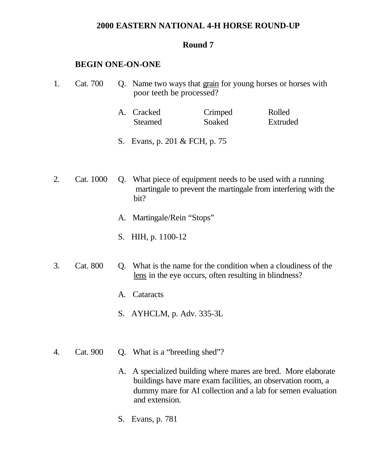#### **2000 EASTERN NATIONAL 4-H HORSE ROUND-UP**

#### **Round 7**

#### **BEGIN ONE-ON-ONE**

| Cat. 700  |    | Q. Name two ways that grain for young horses or horses with<br>poor teeth be processed? |         |                                                                                                                             |  |
|-----------|----|-----------------------------------------------------------------------------------------|---------|-----------------------------------------------------------------------------------------------------------------------------|--|
|           | A. | Cracked                                                                                 | Crimped | Rolled                                                                                                                      |  |
|           |    | <b>Steamed</b>                                                                          | Soaked  | Extruded                                                                                                                    |  |
|           |    | S. Evans, p. 201 & FCH, p. 75                                                           |         |                                                                                                                             |  |
|           |    |                                                                                         |         |                                                                                                                             |  |
| Cat. 1000 |    |                                                                                         |         | Q. What piece of equipment needs to be used with a running<br>martingale to prevent the martingale from interfering with th |  |

- martingale to prevent the martingale from interfering with the bit?
	- A. Martingale/Rein "Stops"
	- S. HIH, p. 1100-12
- 3. Cat. 800 Q. What is the name for the condition when a cloudiness of the lens in the eye occurs, often resulting in blindness?
	- A. Cataracts
	- S. AYHCLM, p. Adv. 335-3L
- 4. Cat. 900 Q. What is a "breeding shed"?
	- A. A specialized building where mares are bred. More elaborate buildings have mare exam facilities, an observation room, a dummy mare for AI collection and a lab for semen evaluation and extension.
	- S. Evans, p. 781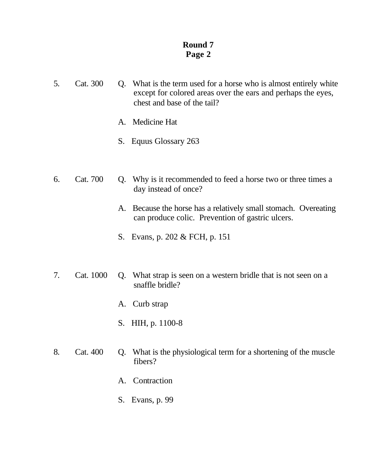- 5. Cat. 300 Q. What is the term used for a horse who is almost entirely white except for colored areas over the ears and perhaps the eyes, chest and base of the tail?
	- A. Medicine Hat
	- S. Equus Glossary 263
- 6. Cat. 700 Q. Why is it recommended to feed a horse two or three times a day instead of once?
	- A. Because the horse has a relatively small stomach. Overeating can produce colic. Prevention of gastric ulcers.
	- S. Evans, p. 202 & FCH, p. 151
- 7. Cat. 1000 Q. What strap is seen on a western bridle that is not seen on a snaffle bridle?
	- A. Curb strap
	- S. HIH, p. 1100-8
- 8. Cat. 400 Q. What is the physiological term for a shortening of the muscle fibers?
	- A. Contraction
	- S. Evans, p. 99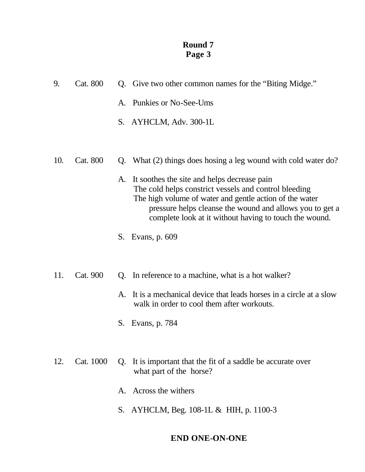| 9.  | Cat. 800 |    | Q. Give two other common names for the "Biting Midge."                                                                                                                                                                                                                                |
|-----|----------|----|---------------------------------------------------------------------------------------------------------------------------------------------------------------------------------------------------------------------------------------------------------------------------------------|
|     |          |    | A. Punkies or No-See-Ums                                                                                                                                                                                                                                                              |
|     |          |    | S. AYHCLM, Adv. 300-1L                                                                                                                                                                                                                                                                |
|     |          |    |                                                                                                                                                                                                                                                                                       |
| 10. | Cat. 800 | Q. | What (2) things does hosing a leg wound with cold water do?                                                                                                                                                                                                                           |
|     |          | A. | It soothes the site and helps decrease pain<br>The cold helps constrict vessels and control bleeding<br>The high volume of water and gentle action of the water<br>pressure helps cleanse the wound and allows you to get a<br>complete look at it without having to touch the wound. |
|     |          |    | S. Evans, p. 609                                                                                                                                                                                                                                                                      |
| 11. | Cat. 900 | Q. | In reference to a machine, what is a hot walker?                                                                                                                                                                                                                                      |
|     |          | A. | It is a mechanical device that leads horses in a circle at a slow<br>walk in order to cool them after workouts.                                                                                                                                                                       |
|     |          | S. | Evans, p. 784                                                                                                                                                                                                                                                                         |

- 12. Cat. 1000 Q. It is important that the fit of a saddle be accurate over what part of the horse?
	- A. Across the withers
	- S. AYHCLM, Beg. 108-1L & HIH, p. 1100-3

## **END ONE-ON-ONE**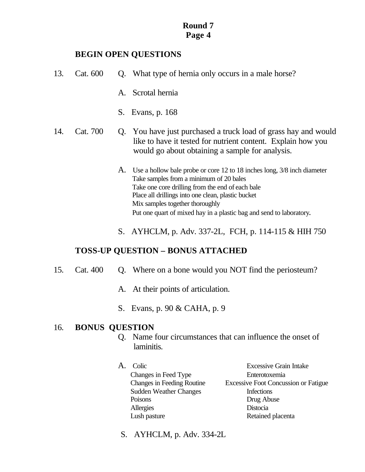### **BEGIN OPEN QUESTIONS**

| 13. | Cat. 600 |    | Q. What type of hernia only occurs in a male horse?                                                                                                                                                                                                                                                                                    |
|-----|----------|----|----------------------------------------------------------------------------------------------------------------------------------------------------------------------------------------------------------------------------------------------------------------------------------------------------------------------------------------|
|     |          | A. | Scrotal hernia                                                                                                                                                                                                                                                                                                                         |
|     |          |    | S. Evans, p. 168                                                                                                                                                                                                                                                                                                                       |
| 14. | Cat. 700 |    | Q. You have just purchased a truck load of grass hay and would<br>like to have it tested for nutrient content. Explain how you<br>would go about obtaining a sample for analysis.                                                                                                                                                      |
|     |          | A. | Use a hollow bale probe or core 12 to 18 inches long, 3/8 inch diameter<br>Take samples from a minimum of 20 bales<br>Take one core drilling from the end of each bale<br>Place all drillings into one clean, plastic bucket<br>Mix samples together thoroughly<br>Put one quart of mixed hay in a plastic bag and send to laboratory. |

S. AYHCLM, p. Adv. 337-2L, FCH, p. 114-115 & HIH 750

## **TOSS-UP QUESTION – BONUS ATTACHED**

- 15. Cat. 400 Q. Where on a bone would you NOT find the periosteum?
	- A. At their points of articulation.
	- S. Evans, p. 90 & CAHA, p. 9

### 16. **BONUS QUESTION**

- Q. Name four circumstances that can influence the onset of laminitis.
- A. Colic Excessive Grain Intake Changes in Feed Type Enterotoxemia Changes in Feeding Routine Excessive Foot Concussion or Fatigue Sudden Weather Changes Infections Poisons Drug Abuse Allergies Distocia Lush pasture Retained placenta
	- S. AYHCLM, p. Adv. 334-2L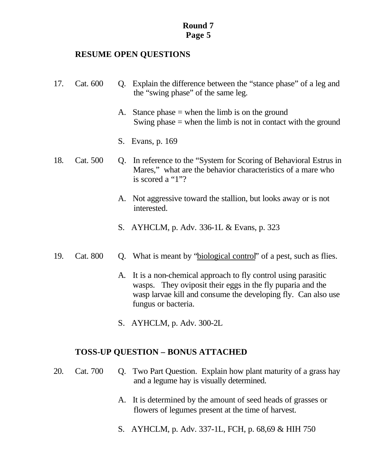#### **RESUME OPEN QUESTIONS**

- 17. Cat. 600 Q. Explain the difference between the "stance phase" of a leg and the "swing phase" of the same leg.
	- A. Stance phase  $=$  when the limb is on the ground Swing phase  $=$  when the limb is not in contact with the ground
	- S. Evans, p. 169
- 18. Cat. 500 Q. In reference to the "System for Scoring of Behavioral Estrus in Mares," what are the behavior characteristics of a mare who is scored a "1"?
	- A. Not aggressive toward the stallion, but looks away or is not interested.
	- S. AYHCLM, p. Adv. 336-1L & Evans, p. 323
- 19. Cat. 800 Q. What is meant by "biological control" of a pest, such as flies.
	- A. It is a non-chemical approach to fly control using parasitic wasps. They oviposit their eggs in the fly puparia and the wasp larvae kill and consume the developing fly. Can also use fungus or bacteria.
	- S. AYHCLM, p. Adv. 300-2L

### **TOSS-UP QUESTION – BONUS ATTACHED**

- 20. Cat. 700 Q. Two Part Question. Explain how plant maturity of a grass hay and a legume hay is visually determined.
	- A. It is determined by the amount of seed heads of grasses or flowers of legumes present at the time of harvest.
	- S. AYHCLM, p. Adv. 337-1L, FCH, p. 68,69 & HIH 750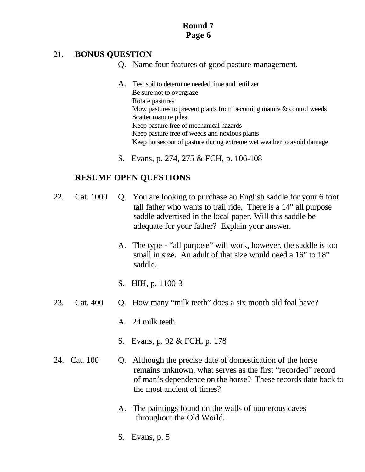### 21. **BONUS QUESTION**

- Q. Name four features of good pasture management.
- A. Test soil to determine needed lime and fertilizer Be sure not to overgraze Rotate pastures Mow pastures to prevent plants from becoming mature & control weeds Scatter manure piles Keep pasture free of mechanical hazards Keep pasture free of weeds and noxious plants Keep horses out of pasture during extreme wet weather to avoid damage
- S. Evans, p. 274, 275 & FCH, p. 106-108

- 22. Cat. 1000 Q. You are looking to purchase an English saddle for your 6 foot tall father who wants to trail ride. There is a 14" all purpose saddle advertised in the local paper. Will this saddle be adequate for your father? Explain your answer.
	- A. The type "all purpose" will work, however, the saddle is too small in size. An adult of that size would need a 16" to 18" saddle.
	- S. HIH, p. 1100-3
- 23. Cat. 400 Q. How many "milk teeth" does a six month old foal have?
	- A. 24 milk teeth
	- S. Evans, p. 92 & FCH, p. 178
- 24. Cat. 100 Q. Although the precise date of domestication of the horse remains unknown, what serves as the first "recorded" record of man's dependence on the horse? These records date back to the most ancient of times?
	- A. The paintings found on the walls of numerous caves throughout the Old World.
	- S. Evans, p. 5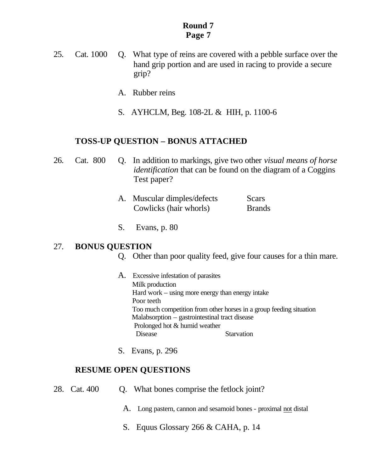- 25. Cat. 1000 Q. What type of reins are covered with a pebble surface over the hand grip portion and are used in racing to provide a secure grip?
	- A. Rubber reins
	- S. AYHCLM, Beg. 108-2L & HIH, p. 1100-6

#### **TOSS-UP QUESTION – BONUS ATTACHED**

| 26. |  | Cat. 800 Q. In addition to markings, give two other <i>visual means of horse</i> |
|-----|--|----------------------------------------------------------------------------------|
|     |  | <i>identification</i> that can be found on the diagram of a Coggins              |
|     |  | Test paper?                                                                      |

| A. Muscular dimples/defects | Scars         |
|-----------------------------|---------------|
| Cowlicks (hair whorls)      | <b>Brands</b> |

S. Evans, p. 80

#### 27. **BONUS QUESTION**

- Q. Other than poor quality feed, give four causes for a thin mare.
- A. Excessive infestation of parasites Milk production Hard work – using more energy than energy intake Poor teeth Too much competition from other horses in a group feeding situation Malabsorption – gastrointestinal tract disease Prolonged hot & humid weather Disease Starvation
- S. Evans, p. 296

- 28. Cat. 400 Q. What bones comprise the fetlock joint?
	- A. Long pastern, cannon and sesamoid bones proximal not distal
	- S. Equus Glossary 266 & CAHA, p. 14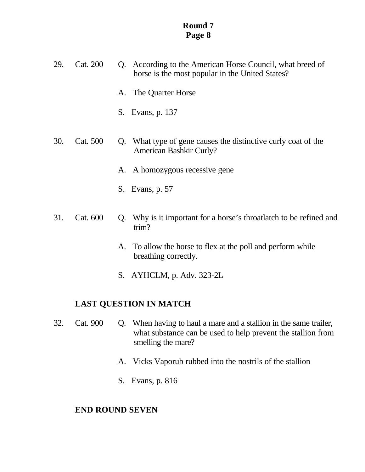- 29. Cat. 200 Q. According to the American Horse Council, what breed of horse is the most popular in the United States?
	- A. The Quarter Horse
	- S. Evans, p. 137
- 30. Cat. 500 Q. What type of gene causes the distinctive curly coat of the American Bashkir Curly?
	- A. A homozygous recessive gene
	- S. Evans, p. 57
- 31. Cat. 600 Q. Why is it important for a horse's throatlatch to be refined and trim?
	- A. To allow the horse to flex at the poll and perform while breathing correctly.
	- S. AYHCLM, p. Adv. 323-2L

### **LAST QUESTION IN MATCH**

- 32. Cat. 900 Q. When having to haul a mare and a stallion in the same trailer, what substance can be used to help prevent the stallion from smelling the mare?
	- A. Vicks Vaporub rubbed into the nostrils of the stallion
	- S. Evans, p. 816

#### **END ROUND SEVEN**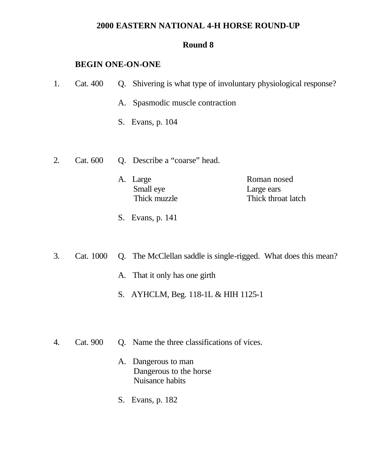## **2000 EASTERN NATIONAL 4-H HORSE ROUND-UP**

### **Round 8**

### **BEGIN ONE-ON-ONE**

| 1. | Cat. 400  | Q. | Shivering is what type of involuntary physiological response?  |                                                 |
|----|-----------|----|----------------------------------------------------------------|-------------------------------------------------|
|    |           | А. | Spasmodic muscle contraction                                   |                                                 |
|    |           | S. | Evans, p. 104                                                  |                                                 |
|    |           |    |                                                                |                                                 |
| 2. | Cat. 600  |    | Q. Describe a "coarse" head.                                   |                                                 |
|    |           |    | A. Large<br>Small eye<br>Thick muzzle                          | Roman nosed<br>Large ears<br>Thick throat latch |
|    |           | S. | Evans, p. 141                                                  |                                                 |
|    |           |    |                                                                |                                                 |
| 3. | Cat. 1000 |    | Q. The McClellan saddle is single-rigged. What does this mean? |                                                 |
|    |           |    | A. That it only has one girth                                  |                                                 |

- S. AYHCLM, Beg. 118-1L & HIH 1125-1
- 4. Cat. 900 Q. Name the three classifications of vices.
	- A. Dangerous to man Dangerous to the horse Nuisance habits
	- S. Evans, p. 182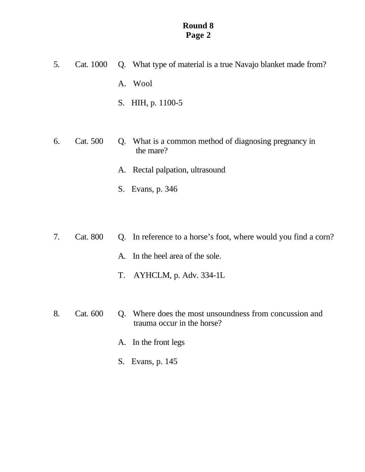- 5. Cat. 1000 Q. What type of material is a true Navajo blanket made from? A. Wool S. HIH, p. 1100-5 6. Cat. 500 Q. What is a common method of diagnosing pregnancy in the mare? A. Rectal palpation, ultrasound
	- S. Evans, p. 346
- 7. Cat. 800 Q. In reference to a horse's foot, where would you find a corn?
	- A. In the heel area of the sole.
	- T. AYHCLM, p. Adv. 334-1L
- 8. Cat. 600 Q. Where does the most unsoundness from concussion and trauma occur in the horse?
	- A. In the front legs
	- S. Evans, p. 145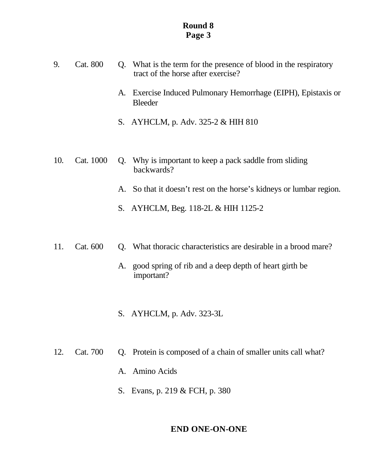- 9. Cat. 800 Q. What is the term for the presence of blood in the respiratory tract of the horse after exercise?
	- A. Exercise Induced Pulmonary Hemorrhage (EIPH), Epistaxis or Bleeder
	- S. AYHCLM, p. Adv. 325-2 & HIH 810
- 10. Cat. 1000 Q. Why is important to keep a pack saddle from sliding backwards?
	- A. So that it doesn't rest on the horse's kidneys or lumbar region.
	- S. AYHCLM, Beg. 118-2L & HIH 1125-2
- 11. Cat. 600 Q. What thoracic characteristics are desirable in a brood mare?
	- A. good spring of rib and a deep depth of heart girth be important?
	- S. AYHCLM, p. Adv. 323-3L
- 12. Cat. 700 Q. Protein is composed of a chain of smaller units call what?
	- A. Amino Acids
	- S. Evans, p. 219 & FCH, p. 380

#### **END ONE-ON-ONE**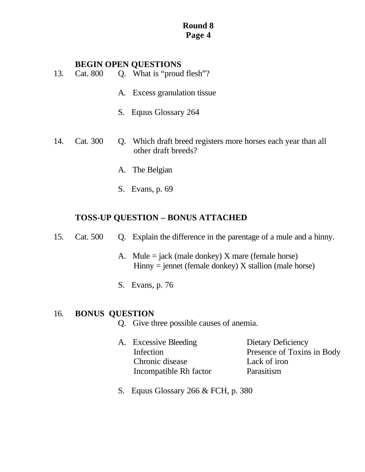#### **BEGIN OPEN QUESTIONS**

- 13. Cat. 800 Q. What is "proud flesh"?
	- A. Excess granulation tissue
	- S. Equus Glossary 264
- 14. Cat. 300 Q. Which draft breed registers more horses each year than all other draft breeds?
	- A. The Belgian
	- S. Evans, p. 69

### **TOSS-UP QUESTION – BONUS ATTACHED**

- 15. Cat. 500 Q. Explain the difference in the parentage of a mule and a hinny.
	- A. Mule  $=$  jack (male donkey) X mare (female horse)  $H$ inny = jennet (female donkey)  $X$  stallion (male horse)
	- S. Evans, p. 76

#### 16. **BONUS QUESTION**

- Q. Give three possible causes of anemia.
- A. Excessive Bleeding Dietary Deficiency Chronic disease Lack of iron Incompatible Rh factor Parasitism

Infection Presence of Toxins in Body

S. Equus Glossary 266 & FCH, p. 380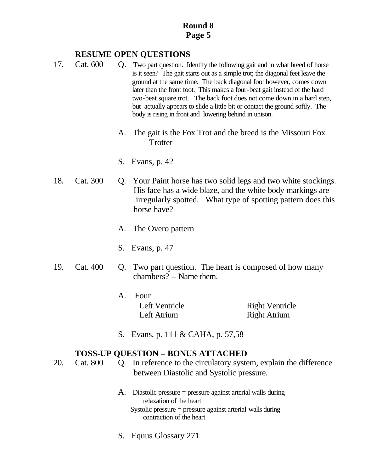### **RESUME OPEN QUESTIONS**

- 17. Cat. 600 Q. Two part question. Identify the following gait and in what breed of horse is it seen? The gait starts out as a simple trot; the diagonal feet leave the ground at the same time. The back diagonal foot however, comes down later than the front foot. This makes a four-beat gait instead of the hard two-beat square trot. The back foot does not come down in a hard step, but actually appears to slide a little bit or contact the ground softly. The body is rising in front and lowering behind in unison.
	- A. The gait is the Fox Trot and the breed is the Missouri Fox **Trotter**
	- S. Evans, p. 42
- 18. Cat. 300 Q. Your Paint horse has two solid legs and two white stockings. His face has a wide blaze, and the white body markings are irregularly spotted. What type of spotting pattern does this horse have?
	- A. The Overo pattern
	- S. Evans, p. 47
- 19. Cat. 400 Q. Two part question. The heart is composed of how many chambers? – Name them.
	- A. Four Left Atrium Right Atrium

Left Ventricle Right Ventricle

S. Evans, p. 111 & CAHA, p. 57,58

## **TOSS-UP QUESTION – BONUS ATTACHED**

- 20. Cat. 800 Q. In reference to the circulatory system, explain the difference between Diastolic and Systolic pressure.
	- A. Diastolic pressure = pressure against arterial walls during relaxation of the heart Systolic pressure = pressure against arterial walls during contraction of the heart
	- S. Equus Glossary 271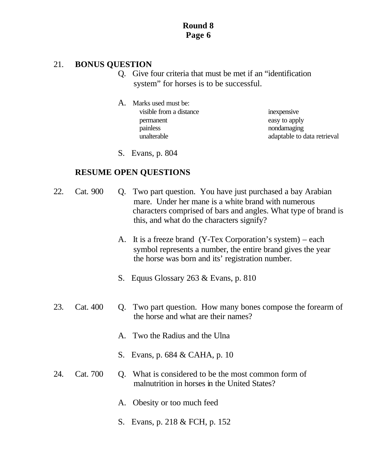### 21. **BONUS QUESTION**

- Q. Give four criteria that must be met if an "identification system" for horses is to be successful.
- A. Marks used must be: visible from a distance inexpensive permanent easy to apply painless nondamaging

unalterable adaptable to data retrieval

S. Evans, p. 804

- 22. Cat. 900 Q. Two part question. You have just purchased a bay Arabian mare. Under her mane is a white brand with numerous characters comprised of bars and angles. What type of brand is this, and what do the characters signify?
	- A. It is a freeze brand (Y-Tex Corporation's system) each symbol represents a number, the entire brand gives the year the horse was born and its' registration number.
	- S. Equus Glossary 263 & Evans, p. 810
- 23. Cat. 400 Q. Two part question. How many bones compose the forearm of the horse and what are their names?
	- A. Two the Radius and the Ulna
	- S. Evans, p. 684 & CAHA, p. 10
- 24. Cat. 700 O. What is considered to be the most common form of malnutrition in horses in the United States?
	- A. Obesity or too much feed
	- S. Evans, p. 218 & FCH, p. 152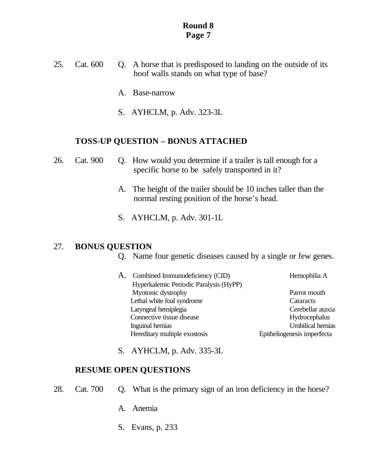- 25. Cat. 600 Q. A horse that is predisposed to landing on the outside of its hoof walls stands on what type of base?
	- A. Base-narrow
	- S. AYHCLM, p. Adv. 323-3L

#### **TOSS-UP QUESTION – BONUS ATTACHED**

- 26. Cat. 900 Q. How would you determine if a trailer is tall enough for a specific horse to be safely transported in it?
	- A. The height of the trailer should be 10 inches taller than the normal resting position of the horse's head.
	- S. AYHCLM, p. Adv. 301-1L

### 27. **BONUS QUESTION**

- Q. Name four genetic diseases caused by a single or few genes.
- A. Combined Immunodeficiency (CID) Hemophilia A Hyperkalemic Periodic Paralysis (HyPP) Myotonic dystrophy Parrot mouth Lethal white foal syndrome Cataracts Laryngeal hemiplegia Cerebellar ataxia Connective tissue disease Hydrocephalus Inguinal hernias Umbilical hernias Hereditary multiple exostosis Epitheliogenesis imperfecta
- S. AYHCLM, p. Adv. 335-3L

- 28. Cat. 700 Q. What is the primary sign of an iron deficiency in the horse?
	- A. Anemia
	- S. Evans, p. 233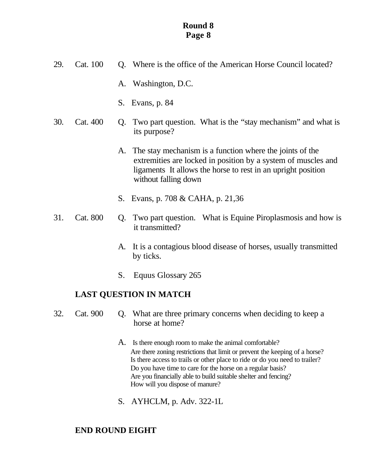| 29.<br>Cat. 100 |          |    | Q. Where is the office of the American Horse Council located?                                                                                                                                                        |
|-----------------|----------|----|----------------------------------------------------------------------------------------------------------------------------------------------------------------------------------------------------------------------|
|                 |          |    | A. Washington, D.C.                                                                                                                                                                                                  |
|                 |          |    | S. Evans, p. 84                                                                                                                                                                                                      |
| 30.<br>Cat. 400 |          | Q. | Two part question. What is the "stay mechanism" and what is<br>its purpose?                                                                                                                                          |
|                 |          |    | A. The stay mechanism is a function where the joints of the<br>extremities are locked in position by a system of muscles and<br>ligaments It allows the horse to rest in an upright position<br>without falling down |
|                 |          |    | S. Evans, p. 708 & CAHA, p. 21,36                                                                                                                                                                                    |
| 31.             | Cat. 800 |    | Q. Two part question. What is Equine Piroplasmosis and how is<br>it transmitted?                                                                                                                                     |
|                 |          |    | A. It is a contagious blood disease of horses, usually transmitted                                                                                                                                                   |

- by ticks.
- S. Equus Glossary 265

## **LAST QUESTION IN MATCH**

- 32. Cat. 900 Q. What are three primary concerns when deciding to keep a horse at home?
	- A. Is there enough room to make the animal comfortable? Are there zoning restrictions that limit or prevent the keeping of a horse? Is there access to trails or other place to ride or do you need to trailer? Do you have time to care for the horse on a regular basis? Are you financially able to build suitable shelter and fencing? How will you dispose of manure?
	- S. AYHCLM, p. Adv. 322-1L

## **END ROUND EIGHT**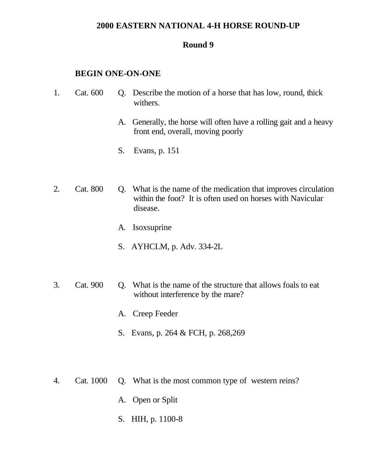#### **2000 EASTERN NATIONAL 4-H HORSE ROUND-UP**

#### **Round 9**

#### **BEGIN ONE-ON-ONE**

- 1. Cat. 600 Q. Describe the motion of a horse that has low, round, thick withers.
	- A. Generally, the horse will often have a rolling gait and a heavy front end, overall, moving poorly
	- S. Evans, p. 151
- 2. Cat. 800 Q. What is the name of the medication that improves circulation within the foot? It is often used on horses with Navicular disease.
	- A. Isoxsuprine
	- S. AYHCLM, p. Adv. 334-2L
- 3. Cat. 900 Q. What is the name of the structure that allows foals to eat without interference by the mare?
	- A. Creep Feeder
	- S. Evans, p. 264 & FCH, p. 268,269
- 4. Cat. 1000 Q. What is the most common type of western reins?
	- A. Open or Split
	- S. HIH, p. 1100-8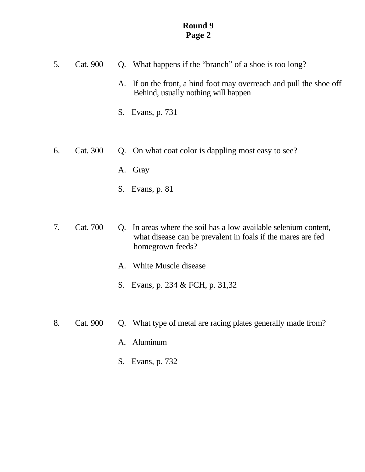- 5. Cat. 900 Q. What happens if the "branch" of a shoe is too long?
	- A. If on the front, a hind foot may overreach and pull the shoe off Behind, usually nothing will happen
	- S. Evans, p. 731
- 6. Cat. 300 Q. On what coat color is dappling most easy to see?
	- A. Gray
	- S. Evans, p. 81
- 7. Cat. 700 Q. In areas where the soil has a low available selenium content, what disease can be prevalent in foals if the mares are fed homegrown feeds?
	- A. White Muscle disease
	- S. Evans, p. 234 & FCH, p. 31,32
- 8. Cat. 900 Q. What type of metal are racing plates generally made from?
	- A. Aluminum
	- S. Evans, p. 732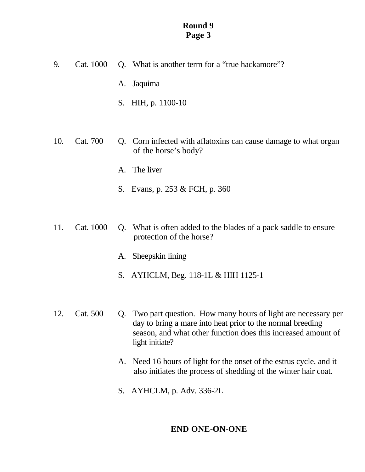- 9. Cat. 1000 Q. What is another term for a "true hackamore"?
	- A. Jaquima
	- S. HIH, p. 1100-10
- 10. Cat. 700 Q. Corn infected with aflatoxins can cause damage to what organ of the horse's body?
	- A. The liver
	- S. Evans, p. 253 & FCH, p. 360
- 11. Cat. 1000 Q. What is often added to the blades of a pack saddle to ensure protection of the horse?
	- A. Sheepskin lining
	- S. AYHCLM, Beg. 118-1L & HIH 1125-1
- 12. Cat. 500 Q. Two part question. How many hours of light are necessary per day to bring a mare into heat prior to the normal breeding season, and what other function does this increased amount of light initiate?
	- A. Need 16 hours of light for the onset of the estrus cycle, and it also initiates the process of shedding of the winter hair coat.
	- S. AYHCLM, p. Adv. 336-2L

## **END ONE-ON-ONE**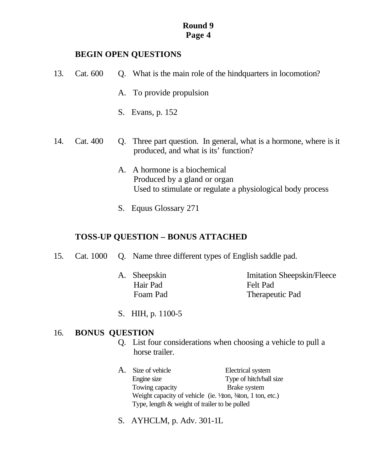#### **BEGIN OPEN QUESTIONS**

| 13. | Cat. 600 |                      | Q. What is the main role of the hind quarters in locomotion?                                                             |
|-----|----------|----------------------|--------------------------------------------------------------------------------------------------------------------------|
|     |          |                      | A. To provide propulsion                                                                                                 |
|     |          |                      | S. Evans, p. 152                                                                                                         |
| 14. | Cat. 400 |                      | Q. Three part question. In general, what is a hormone, where is it<br>produced, and what is its' function?               |
|     |          | $\mathbf{A}_{\cdot}$ | A hormone is a biochemical<br>Produced by a gland or organ<br>Used to stimulate or regulate a physiological body process |

S. Equus Glossary 271

## **TOSS-UP QUESTION – BONUS ATTACHED**

- 15. Cat. 1000 Q. Name three different types of English saddle pad.
	- Hair Pad Felt Pad

A. Sheepskin Imitation Sheepskin/Fleece Foam Pad Therapeutic Pad

S. HIH, p. 1100-5

## 16. **BONUS QUESTION**

- Q. List four considerations when choosing a vehicle to pull a horse trailer.
- A. Size of vehicle Electrical system Engine size Type of hitch/ball size Towing capacity Brake system Weight capacity of vehicle (ie.  $\frac{1}{4}$ on,  $\frac{3}{4}$ on, 1 ton, etc.) Type, length & weight of trailer to be pulled
- S. AYHCLM, p. Adv. 301-1L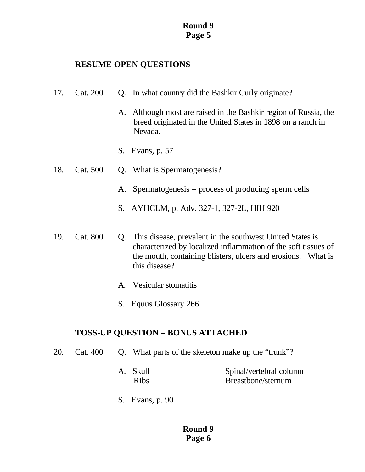### **RESUME OPEN QUESTIONS**

- 17. Cat. 200 Q. In what country did the Bashkir Curly originate?
	- A. Although most are raised in the Bashkir region of Russia, the breed originated in the United States in 1898 on a ranch in Nevada.
	- S. Evans, p. 57
- 18. Cat. 500 Q. What is Spermatogenesis?
	- A. Spermatogenesis = process of producing sperm cells
	- S. AYHCLM, p. Adv. 327-1, 327-2L, HIH 920
- 19. Cat. 800 Q. This disease, prevalent in the southwest United States is characterized by localized inflammation of the soft tissues of the mouth, containing blisters, ulcers and erosions. What is this disease?
	- A. Vesicular stomatitis
	- S. Equus Glossary 266

### **TOSS-UP QUESTION – BONUS ATTACHED**

- 20. Cat. 400 Q. What parts of the skeleton make up the "trunk"?
	- A. Skull Spinal/vertebral column Ribs Breastbone/sternum
	- S. Evans, p. 90

### **Round 9 Page 6**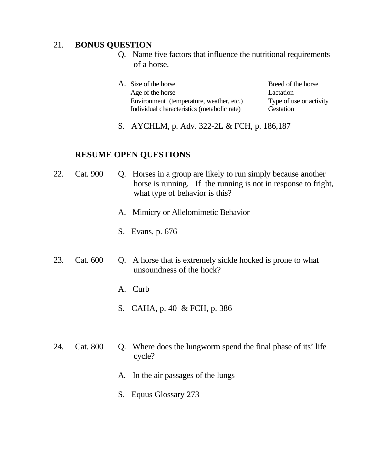### 21. **BONUS QUESTION**

- Q. Name five factors that influence the nutritional requirements of a horse.
- A. Size of the horse Breed of the horse Age of the horse Lactation Environment (temperature, weather, etc.) Type of use or activity Individual characteristics (metabolic rate) Gestation
- S. AYCHLM, p. Adv. 322-2L & FCH, p. 186,187

- 22. Cat. 900 Q. Horses in a group are likely to run simply because another horse is running. If the running is not in response to fright, what type of behavior is this?
	- A. Mimicry or Allelomimetic Behavior
	- S. Evans, p. 676
- 23. Cat. 600 Q. A horse that is extremely sickle hocked is prone to what unsoundness of the hock?
	- A. Curb
	- S. CAHA, p. 40 & FCH, p. 386
- 24. Cat. 800 Q. Where does the lungworm spend the final phase of its' life cycle?
	- A. In the air passages of the lungs
	- S. Equus Glossary 273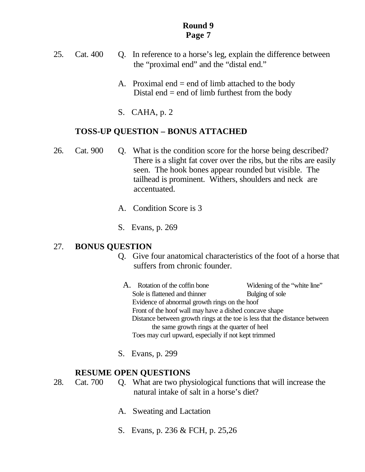- 25. Cat. 400 Q. In reference to a horse's leg, explain the difference between the "proximal end" and the "distal end."
	- A. Proximal end  $=$  end of limb attached to the body Distal end  $=$  end of limb furthest from the body
	- S. CAHA, p. 2

### **TOSS-UP QUESTION – BONUS ATTACHED**

- 26. Cat. 900 Q. What is the condition score for the horse being described? There is a slight fat cover over the ribs, but the ribs are easily seen. The hook bones appear rounded but visible. The tailhead is prominent. Withers, shoulders and neck are accentuated.
	- A. Condition Score is 3
	- S. Evans, p. 269

### 27. **BONUS QUESTION**

- Q. Give four anatomical characteristics of the foot of a horse that suffers from chronic founder.
	- A. Rotation of the coffin bone Widening of the "white line" Sole is flattened and thinner Bulging of sole Evidence of abnormal growth rings on the hoof Front of the hoof wall may have a dished concave shape Distance between growth rings at the toe is less that the distance between the same growth rings at the quarter of heel Toes may curl upward, especially if not kept trimmed
- S. Evans, p. 299

### **RESUME OPEN QUESTIONS**

28. Cat. 700 Q. What are two physiological functions that will increase the natural intake of salt in a horse's diet?

- A. Sweating and Lactation
- S. Evans, p. 236 & FCH, p. 25,26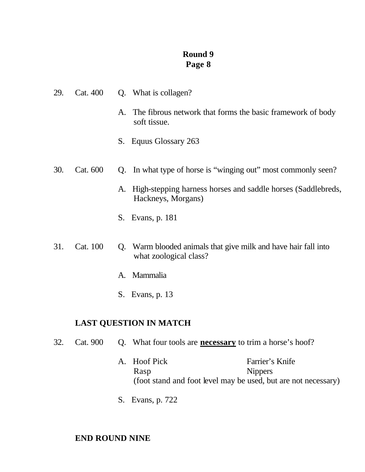| 29. | Cat. 400 | Q. What is collagen?                                                                  |
|-----|----------|---------------------------------------------------------------------------------------|
|     |          | A. The fibrous network that forms the basic framework of body<br>soft tissue.         |
|     |          | S. Equus Glossary 263                                                                 |
| 30. | Cat. 600 | Q. In what type of horse is "winging out" most commonly seen?                         |
|     |          | A. High-stepping harness horses and saddle horses (Saddlebreds,<br>Hackneys, Morgans) |
|     |          | S. Evans, p. 181                                                                      |
|     |          |                                                                                       |

- 31. Cat. 100 Q. Warm blooded animals that give milk and have hair fall into what zoological class?
	- A. Mammalia
	- S. Evans, p. 13

# **LAST QUESTION IN MATCH**

- 32. Cat. 900 Q. What four tools are **necessary** to trim a horse's hoof?
	- A. Hoof Pick Farrier's Knife Rasp Nippers (foot stand and foot level may be used, but are not necessary)
	- S. Evans, p. 722

# **END ROUND NINE**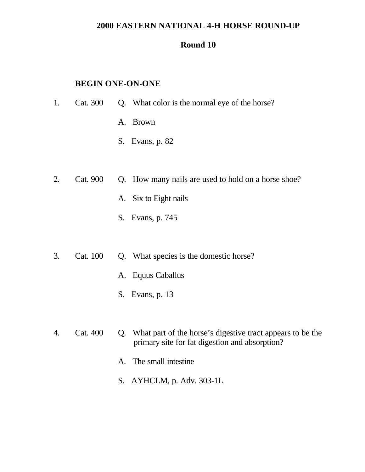## **2000 EASTERN NATIONAL 4-H HORSE ROUND-UP**

### **Round 10**

### **BEGIN ONE-ON-ONE**

| 1. | Cat. 300 | Q. What color is the normal eye of the horse?       |
|----|----------|-----------------------------------------------------|
|    |          | <b>Brown</b><br>A.                                  |
|    |          | Evans, p. 82<br>S.                                  |
|    |          |                                                     |
| 2. | Cat. 900 | Q. How many nails are used to hold on a horse shoe? |
|    |          | A. Six to Eight nails                               |
|    |          | S. Evans, p. 745                                    |
|    |          |                                                     |

- 3. Cat. 100 Q. What species is the domestic horse?
	- A. Equus Caballus
	- S. Evans, p. 13
- 4. Cat. 400 Q. What part of the horse's digestive tract appears to be the primary site for fat digestion and absorption?
	- A. The small intestine
	- S. AYHCLM, p. Adv. 303-1L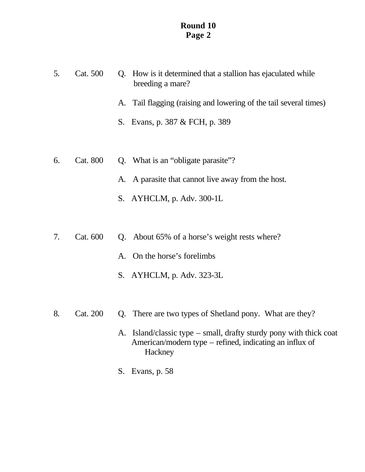- 5. Cat. 500 Q. How is it determined that a stallion has ejaculated while breeding a mare?
	- A. Tail flagging (raising and lowering of the tail several times)
	- S. Evans, p. 387 & FCH, p. 389
- 6. Cat. 800 Q. What is an "obligate parasite"?
	- A. A parasite that cannot live away from the host.
	- S. AYHCLM, p. Adv. 300-1L
- 7. Cat. 600 Q. About 65% of a horse's weight rests where?
	- A. On the horse's forelimbs
	- S. AYHCLM, p. Adv. 323-3L
- 8. Cat. 200 Q. There are two types of Shetland pony. What are they?
	- A. Island/classic type small, drafty sturdy pony with thick coat American/modern type – refined, indicating an influx of **Hackney**
	- S. Evans, p. 58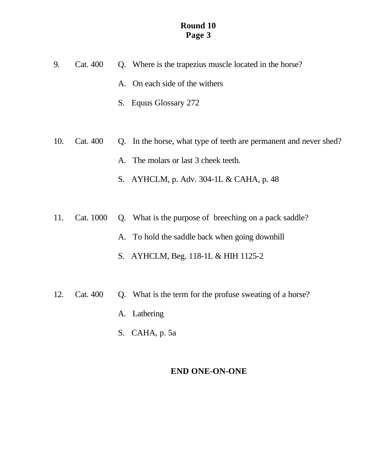- 9. Cat. 400 Q. Where is the trapezius muscle located in the horse?
	- A. On each side of the withers
	- S. Equus Glossary 272
- 10. Cat. 400 Q. In the horse, what type of teeth are permanent and never shed?
	- A. The molars or last 3 cheek teeth.
	- S. AYHCLM, p. Adv. 304-1L & CAHA, p. 48
- 11. Cat. 1000 Q. What is the purpose of breeching on a pack saddle?
	- A. To hold the saddle back when going downhill
	- S. AYHCLM, Beg. 118-1L & HIH 1125-2
- 12. Cat. 400 Q. What is the term for the profuse sweating of a horse?
	- A. Lathering
	- S. CAHA, p. 5a

## **END ONE-ON-ONE**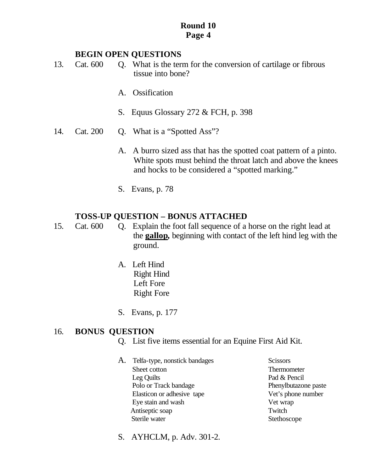#### **BEGIN OPEN QUESTIONS**

- 13. Cat. 600 Q. What is the term for the conversion of cartilage or fibrous tissue into bone?
	- A. Ossification
	- S. Equus Glossary 272 & FCH, p. 398
- 14. Cat. 200 Q. What is a "Spotted Ass"?
	- A. A burro sized ass that has the spotted coat pattern of a pinto. White spots must behind the throat latch and above the knees and hocks to be considered a "spotted marking."
	- S. Evans, p. 78

### **TOSS-UP QUESTION – BONUS ATTACHED**

15. Cat. 600 Q. Explain the foot fall sequence of a horse on the right lead at the **gallop,** beginning with contact of the left hind leg with the ground.

- A. Left Hind Right Hind Left Fore Right Fore
- S. Evans, p. 177

#### 16. **BONUS QUESTION**

- Q. List five items essential for an Equine First Aid Kit.
- A. Telfa-type, nonstick bandages Scissors Sheet cotton Thermometer Leg Quilts Pad & Pencil Polo or Track bandage Phenylbutazone paste Elasticon or adhesive tape Vet's phone number Eye stain and wash Vet wrap Antiseptic soap Twitch Sterile water Stethoscope
- S. AYHCLM, p. Adv. 301-2.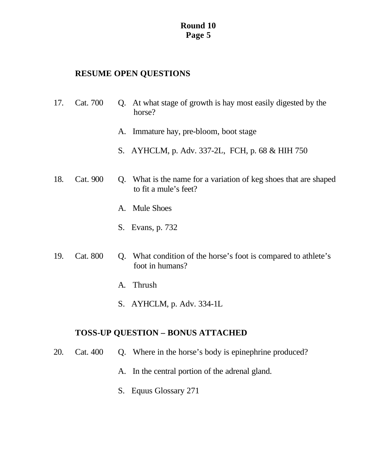## **RESUME OPEN QUESTIONS**

- 17. Cat. 700 Q. At what stage of growth is hay most easily digested by the horse?
	- A. Immature hay, pre-bloom, boot stage
	- S. AYHCLM, p. Adv. 337-2L, FCH, p. 68 & HIH 750
- 18. Cat. 900 Q. What is the name for a variation of keg shoes that are shaped to fit a mule's feet?
	- A. Mule Shoes
	- S. Evans, p. 732
- 19. Cat. 800 Q. What condition of the horse's foot is compared to athlete's foot in humans?
	- A. Thrush
	- S. AYHCLM, p. Adv. 334-1L

# **TOSS-UP QUESTION – BONUS ATTACHED**

- 20. Cat. 400 Q. Where in the horse's body is epinephrine produced?
	- A. In the central portion of the adrenal gland.
	- S. Equus Glossary 271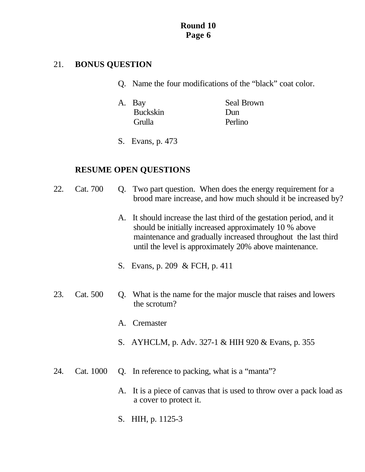# 21. **BONUS QUESTION**

- Q. Name the four modifications of the "black" coat color.
- A. Bay Seal Brown Buckskin Dun Grulla Perlino
- S. Evans, p. 473

- 22. Cat. 700 Q. Two part question. When does the energy requirement for a brood mare increase, and how much should it be increased by?
	- A. It should increase the last third of the gestation period, and it should be initially increased approximately 10 % above maintenance and gradually increased throughout the last third until the level is approximately 20% above maintenance.
	- S. Evans, p. 209 & FCH, p. 411
- 23. Cat. 500 Q. What is the name for the major muscle that raises and lowers the scrotum?
	- A. Cremaster
	- S. AYHCLM, p. Adv. 327-1 & HIH 920 & Evans, p. 355
- 24. Cat. 1000 Q. In reference to packing, what is a "manta"?
	- A. It is a piece of canvas that is used to throw over a pack load as a cover to protect it.
	- S. HIH, p. 1125-3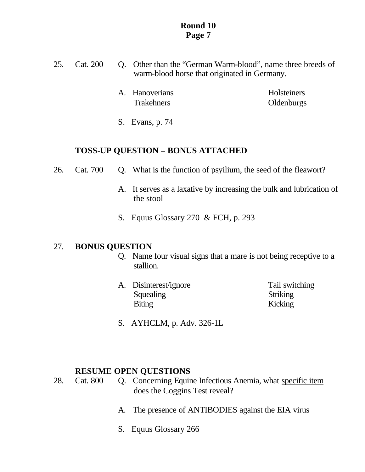- 25. Cat. 200 Q. Other than the "German Warm-blood", name three breeds of warm-blood horse that originated in Germany.
	- A. Hanoverians Holsteiners Trakehners Oldenburgs
	- S. Evans, p. 74

# **TOSS-UP QUESTION – BONUS ATTACHED**

- 26. Cat. 700 Q. What is the function of psyilium, the seed of the fleawort?
	- A. It serves as a laxative by increasing the bulk and lubrication of the stool
	- S. Equus Glossary 270 & FCH, p. 293

# 27. **BONUS QUESTION**

- Q. Name four visual signs that a mare is not being receptive to a stallion.
- A. Disinterest/ignore Tail switching Squealing Striking Biting Kicking
- - S. AYHCLM, p. Adv. 326-1L

- 28. Cat. 800 Q. Concerning Equine Infectious Anemia, what specific item does the Coggins Test reveal?
	- A. The presence of ANTIBODIES against the EIA virus
	- S. Equus Glossary 266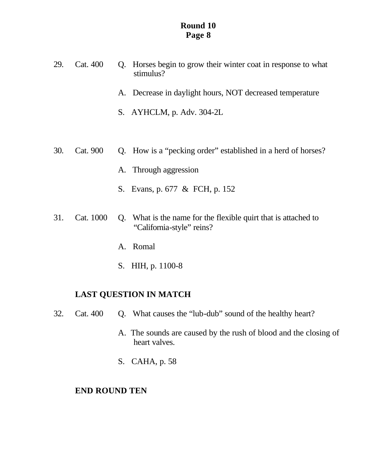- 29. Cat. 400 Q. Horses begin to grow their winter coat in response to what stimulus?
	- A. Decrease in daylight hours, NOT decreased temperature
	- S. AYHCLM, p. Adv. 304-2L
- 30. Cat. 900 Q. How is a "pecking order" established in a herd of horses?
	- A. Through aggression
	- S. Evans, p. 677 & FCH, p. 152
- 31. Cat. 1000 Q. What is the name for the flexible quirt that is attached to "California-style" reins?
	- A. Romal
	- S. HIH, p. 1100-8

## **LAST QUESTION IN MATCH**

- 32. Cat. 400 Q. What causes the "lub-dub" sound of the healthy heart?
	- A. The sounds are caused by the rush of blood and the closing of heart valves.
	- S. CAHA, p. 58

#### **END ROUND TEN**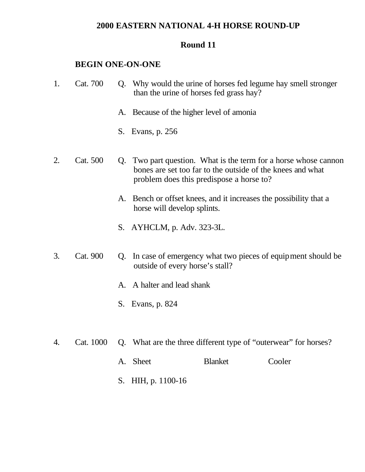### **2000 EASTERN NATIONAL 4-H HORSE ROUND-UP**

#### **Round 11**

#### **BEGIN ONE-ON-ONE**

- 1. Cat. 700 Q. Why would the urine of horses fed legume hay smell stronger than the urine of horses fed grass hay?
	- A. Because of the higher level of amonia
	- S. Evans, p. 256
- 2. Cat. 500 Q. Two part question. What is the term for a horse whose cannon bones are set too far to the outside of the knees and what problem does this predispose a horse to?
	- A. Bench or offset knees, and it increases the possibility that a horse will develop splints.
	- S. AYHCLM, p. Adv. 323-3L.
- 3. Cat. 900 Q. In case of emergency what two pieces of equipment should be outside of every horse's stall?
	- A. A halter and lead shank
	- S. Evans, p. 824
- 4. Cat. 1000 Q. What are the three different type of "outerwear" for horses?
	- A. Sheet Blanket Cooler
	- S. HIH, p. 1100-16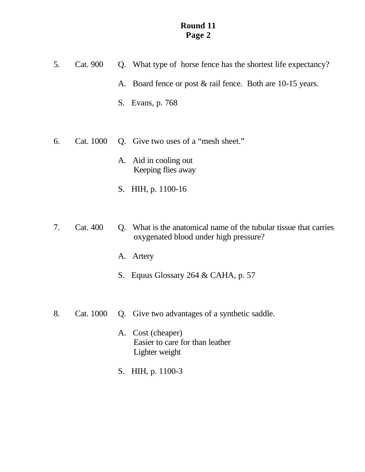- 5. Cat. 900 Q. What type of horse fence has the shortest life expectancy?
	- A. Board fence or post & rail fence. Both are 10-15 years.
	- S. Evans, p. 768
- 6. Cat. 1000 Q. Give two uses of a "mesh sheet."
	- A. Aid in cooling out Keeping flies away
	- S. HIH, p. 1100-16
- 7. Cat. 400 Q. What is the anatomical name of the tubular tissue that carries oxygenated blood under high pressure?
	- A. Artery
	- S. Equus Glossary 264 & CAHA, p. 57
- 8. Cat. 1000 Q. Give two advantages of a synthetic saddle.
	- A. Cost (cheaper) Easier to care for than leather Lighter weight
	- S. HIH, p. 1100-3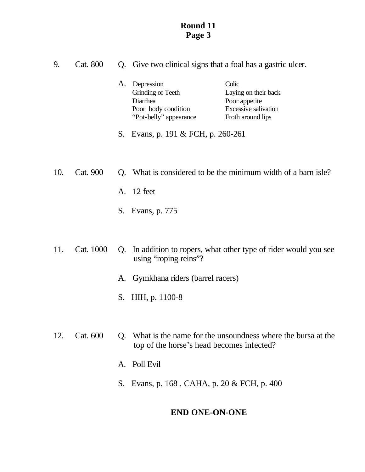| 9.  | Cat. 800  |          | Q. Give two clinical signs that a foal has a gastric ulcer.                                  |                                                                                             |  |
|-----|-----------|----------|----------------------------------------------------------------------------------------------|---------------------------------------------------------------------------------------------|--|
|     |           | A.       | Depression<br>Grinding of Teeth<br>Diarrhea<br>Poor body condition<br>"Pot-belly" appearance | Colic<br>Laying on their back<br>Poor appetite<br>Excessive salivation<br>Froth around lips |  |
|     |           | S.       | Evans, p. 191 & FCH, p. 260-261                                                              |                                                                                             |  |
| 10. | Cat. 900  |          |                                                                                              | Q. What is considered to be the minimum width of a barn isle?                               |  |
|     |           | A.<br>S. | 12 feet<br>Evans, p. 775                                                                     |                                                                                             |  |
| 11. | Cat. 1000 |          |                                                                                              | Q. In addition to ropers, what other type of rider would you see                            |  |

- using "roping reins"?
	- A. Gymkhana riders (barrel racers)
	- S. HIH, p. 1100-8
- 12. Cat. 600 Q. What is the name for the unsoundness where the bursa at the top of the horse's head becomes infected?
	- A. Poll Evil
	- S. Evans, p. 168 , CAHA, p. 20 & FCH, p. 400

# **END ONE-ON-ONE**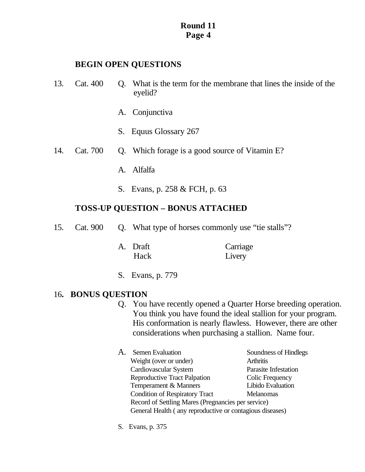## **BEGIN OPEN QUESTIONS**

- 13. Cat. 400 Q. What is the term for the membrane that lines the inside of the eyelid?
	- A. Conjunctiva
	- S. Equus Glossary 267
- 14. Cat. 700 Q. Which forage is a good source of Vitamin E?
	- A. Alfalfa
	- S. Evans, p. 258 & FCH, p. 63

# **TOSS-UP QUESTION – BONUS ATTACHED**

- 15. Cat. 900 Q. What type of horses commonly use "tie stalls"?
	- A. Draft Carriage Hack Livery
	- S. Evans, p. 779

# 16**. BONUS QUESTION**

- Q. You have recently opened a Quarter Horse breeding operation. You think you have found the ideal stallion for your program. His conformation is nearly flawless. However, there are other considerations when purchasing a stallion. Name four.
- A. Semen Evaluation Soundness of Hindlegs Weight (over or under) Arthritis Cardiovascular System Parasite Infestation Reproductive Tract Palpation Colic Frequency Temperament & Manners Libido Evaluation Condition of Respiratory Tract Melanomas Record of Settling Mares (Pregnancies per service) General Health ( any reproductive or contagious diseases)
- S. Evans, p. 375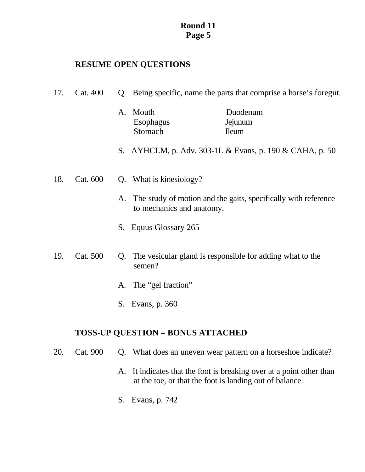# **RESUME OPEN QUESTIONS**

| 17. | Cat. 400 |    | Q. Being specific, name the parts that comprise a horse's foregut. |                                                                |
|-----|----------|----|--------------------------------------------------------------------|----------------------------------------------------------------|
|     |          | A. | Mouth<br><b>Esophagus</b><br>Stomach                               | Duodenum<br>Jejunum<br><b>Ileum</b>                            |
|     |          |    |                                                                    | S. AYHCLM, p. Adv. 303-1L & Evans, p. 190 & CAHA, p. 50        |
| 18. | Cat. 600 |    | Q. What is kinesiology?                                            |                                                                |
|     |          | A. | to mechanics and anatomy.                                          | The study of motion and the gaits, specifically with reference |
|     |          |    | S. Equus Glossary 265                                              |                                                                |
| 19. | Cat. 500 | Q. | semen?                                                             | The vesicular gland is responsible for adding what to the      |
|     |          |    | A. The "gel fraction"                                              |                                                                |
|     |          |    | S. Evans, p. 360                                                   |                                                                |
|     |          |    |                                                                    |                                                                |

# **TOSS-UP QUESTION – BONUS ATTACHED**

- 20. Cat. 900 Q. What does an uneven wear pattern on a horseshoe indicate?
	- A. It indicates that the foot is breaking over at a point other than at the toe, or that the foot is landing out of balance.
	- S. Evans, p. 742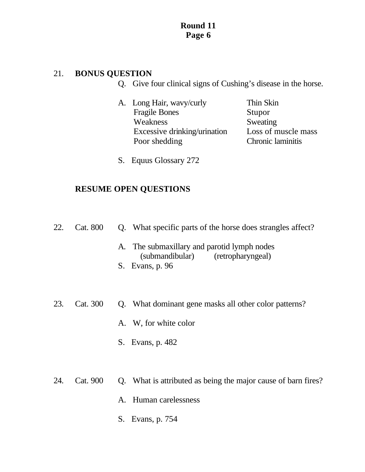## 21. **BONUS QUESTION**

- Q. Give four clinical signs of Cushing's disease in the horse.
- A. Long Hair, wavy/curly Thin Skin Fragile Bones Stupor Weakness Sweating Excessive drinking/urination Loss of muscle mass Poor shedding Chronic laminitis
- 
- S. Equus Glossary 272

|  | 22. Cat. 800 Q. What specific parts of the horse does strangles affect? |
|--|-------------------------------------------------------------------------|
|  |                                                                         |

- A. The submaxillary and parotid lymph nodes (submandibular) (retropharyngeal)
- S. Evans, p. 96
- 23. Cat. 300 Q. What dominant gene masks all other color patterns?
	- A. W, for white color
	- S. Evans, p. 482
- 24. Cat. 900 Q. What is attributed as being the major cause of barn fires?
	- A. Human carelessness
	- S. Evans, p. 754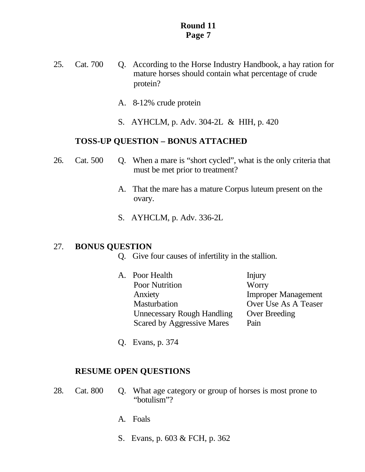- 25. Cat. 700 Q. According to the Horse Industry Handbook, a hay ration for mature horses should contain what percentage of crude protein?
	- A. 8-12% crude protein
	- S. AYHCLM, p. Adv. 304-2L & HIH, p. 420

#### **TOSS-UP QUESTION – BONUS ATTACHED**

- 26. Cat. 500 Q. When a mare is "short cycled", what is the only criteria that must be met prior to treatment?
	- A. That the mare has a mature Corpus luteum present on the ovary.
	- S. AYHCLM, p. Adv. 336-2L

#### 27. **BONUS QUESTION**

- Q. Give four causes of infertility in the stallion.
- A. Poor Health Injury Poor Nutrition Worry Anxiety Improper Management Masturbation Over Use As A Teaser Unnecessary Rough Handling Over Breeding Scared by Aggressive Mares Pain
- Q. Evans, p. 374

- 28. Cat. 800 Q. What age category or group of horses is most prone to "botulism"?
	- A. Foals
	- S. Evans, p. 603 & FCH, p. 362